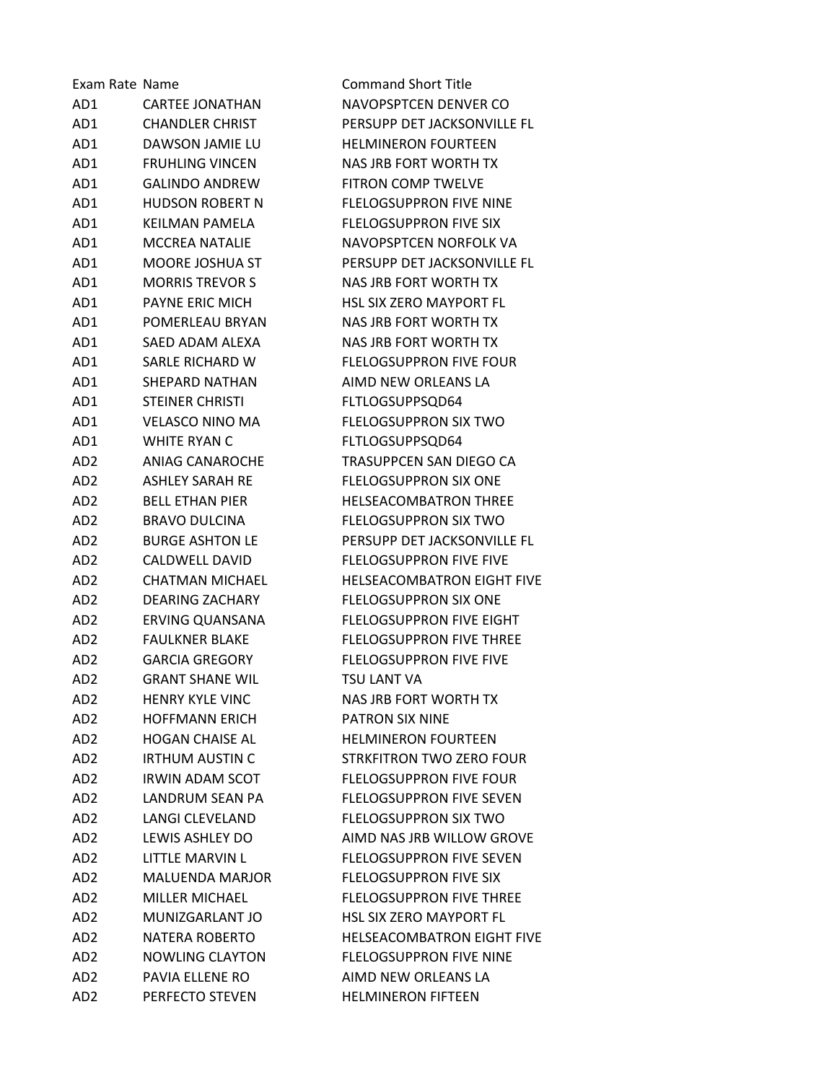| Exam Rate Name  |                        | <b>Command Short Title</b>        |
|-----------------|------------------------|-----------------------------------|
| AD1             | <b>CARTEE JONATHAN</b> | NAVOPSPTCEN DENVER CO             |
| AD1             | <b>CHANDLER CHRIST</b> | PERSUPP DET JACKSONVILLE FL       |
| AD1             | DAWSON JAMIE LU        | <b>HELMINERON FOURTEEN</b>        |
| AD1             | <b>FRUHLING VINCEN</b> | NAS JRB FORT WORTH TX             |
| AD1             | <b>GALINDO ANDREW</b>  | <b>FITRON COMP TWELVE</b>         |
| AD1             | <b>HUDSON ROBERT N</b> | <b>FLELOGSUPPRON FIVE NINE</b>    |
| AD1             | KEILMAN PAMELA         | <b>FLELOGSUPPRON FIVE SIX</b>     |
| AD1             | <b>MCCREA NATALIE</b>  | NAVOPSPTCEN NORFOLK VA            |
| AD1             | <b>MOORE JOSHUA ST</b> | PERSUPP DET JACKSONVILLE FL       |
| AD1             | <b>MORRIS TREVOR S</b> | NAS JRB FORT WORTH TX             |
| AD1             | PAYNE ERIC MICH        | HSL SIX ZERO MAYPORT FL           |
| AD1             | POMERLEAU BRYAN        | NAS JRB FORT WORTH TX             |
| AD1             | SAED ADAM ALEXA        | NAS JRB FORT WORTH TX             |
| AD1             | SARLE RICHARD W        | <b>FLELOGSUPPRON FIVE FOUR</b>    |
| AD1             | SHEPARD NATHAN         | AIMD NEW ORLEANS LA               |
| AD1             | <b>STEINER CHRISTI</b> | FLTLOGSUPPSQD64                   |
| AD1             | VELASCO NINO MA        | <b>FLELOGSUPPRON SIX TWO</b>      |
| AD1             | <b>WHITE RYAN C</b>    | FLTLOGSUPPSQD64                   |
| AD <sub>2</sub> | <b>ANIAG CANAROCHE</b> | TRASUPPCEN SAN DIEGO CA           |
| AD <sub>2</sub> | <b>ASHLEY SARAH RE</b> | <b>FLELOGSUPPRON SIX ONE</b>      |
| AD <sub>2</sub> | <b>BELL ETHAN PIER</b> | <b>HELSEACOMBATRON THREE</b>      |
| AD <sub>2</sub> | <b>BRAVO DULCINA</b>   | <b>FLELOGSUPPRON SIX TWO</b>      |
| AD <sub>2</sub> | <b>BURGE ASHTON LE</b> | PERSUPP DET JACKSONVILLE FL       |
| AD <sub>2</sub> | <b>CALDWELL DAVID</b>  | <b>FLELOGSUPPRON FIVE FIVE</b>    |
| AD <sub>2</sub> | <b>CHATMAN MICHAEL</b> | <b>HELSEACOMBATRON EIGHT FIVE</b> |
| AD <sub>2</sub> | <b>DEARING ZACHARY</b> | <b>FLELOGSUPPRON SIX ONE</b>      |
| AD <sub>2</sub> | <b>ERVING QUANSANA</b> | <b>FLELOGSUPPRON FIVE EIGHT</b>   |
| AD <sub>2</sub> | <b>FAULKNER BLAKE</b>  | <b>FLELOGSUPPRON FIVE THREE</b>   |
| AD <sub>2</sub> | <b>GARCIA GREGORY</b>  | <b>FLELOGSUPPRON FIVE FIVE</b>    |
| AD <sub>2</sub> | <b>GRANT SHANE WIL</b> | TSU LANT VA                       |
| AD2             | <b>HENRY KYLE VINC</b> | <b>NAS JRB FORT WORTH TX</b>      |
| AD <sub>2</sub> | <b>HOFFMANN ERICH</b>  | PATRON SIX NINE                   |
| AD <sub>2</sub> | <b>HOGAN CHAISE AL</b> | <b>HELMINERON FOURTEEN</b>        |
| AD <sub>2</sub> | <b>IRTHUM AUSTIN C</b> | <b>STRKFITRON TWO ZERO FOUR</b>   |
| AD <sub>2</sub> | <b>IRWIN ADAM SCOT</b> | <b>FLELOGSUPPRON FIVE FOUR</b>    |
| AD <sub>2</sub> | LANDRUM SEAN PA        | <b>FLELOGSUPPRON FIVE SEVEN</b>   |
| AD <sub>2</sub> | <b>LANGI CLEVELAND</b> | <b>FLELOGSUPPRON SIX TWO</b>      |
| AD <sub>2</sub> | LEWIS ASHLEY DO        | AIMD NAS JRB WILLOW GROVE         |
| AD <sub>2</sub> | LITTLE MARVIN L        | <b>FLELOGSUPPRON FIVE SEVEN</b>   |
| AD <sub>2</sub> | <b>MALUENDA MARJOR</b> | <b>FLELOGSUPPRON FIVE SIX</b>     |
| AD <sub>2</sub> | <b>MILLER MICHAEL</b>  | <b>FLELOGSUPPRON FIVE THREE</b>   |
| AD <sub>2</sub> | MUNIZGARLANT JO        | <b>HSL SIX ZERO MAYPORT FL</b>    |
| AD <sub>2</sub> | NATERA ROBERTO         | <b>HELSEACOMBATRON EIGHT FIVE</b> |
| AD <sub>2</sub> | <b>NOWLING CLAYTON</b> | <b>FLELOGSUPPRON FIVE NINE</b>    |
| AD <sub>2</sub> | PAVIA ELLENE RO        | AIMD NEW ORLEANS LA               |
| AD <sub>2</sub> | PERFECTO STEVEN        | <b>HELMINERON FIFTEEN</b>         |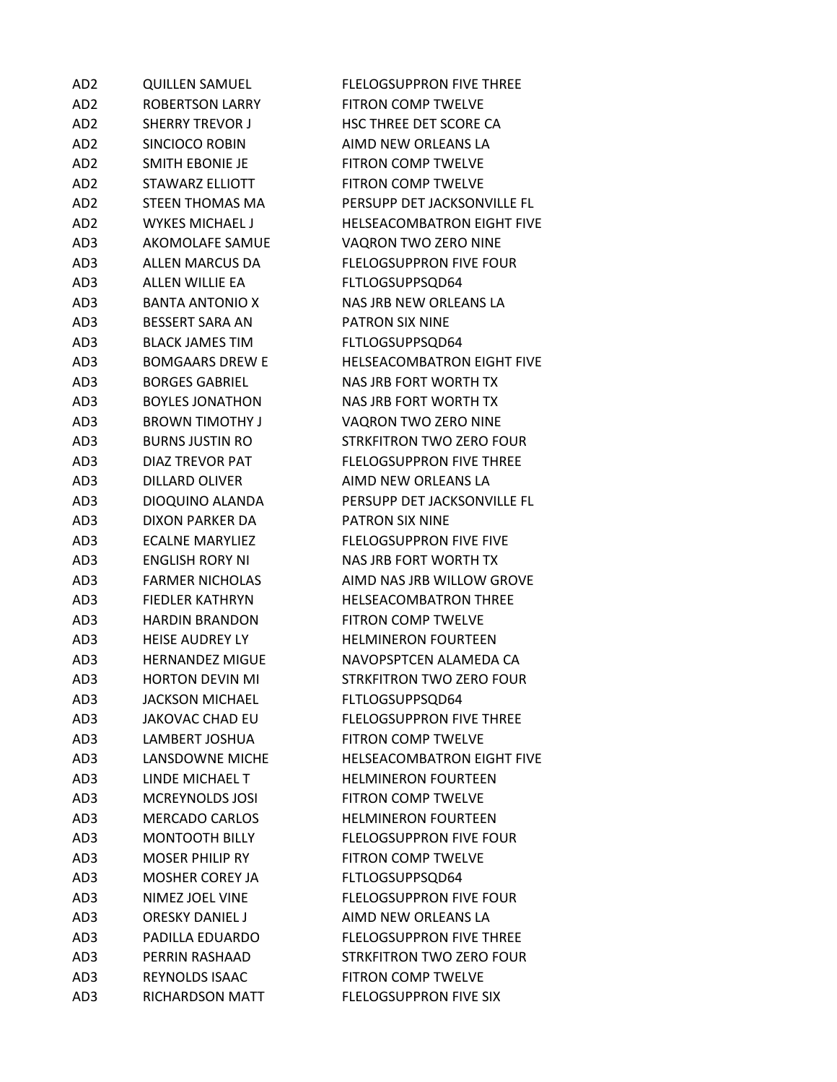| AD2             | <b>QUILLEN SAMUEL</b>  | FLELOGSUPPRON FIVE THREE          |
|-----------------|------------------------|-----------------------------------|
| AD <sub>2</sub> | <b>ROBERTSON LARRY</b> | <b>FITRON COMP TWELVE</b>         |
| AD <sub>2</sub> | <b>SHERRY TREVOR J</b> | HSC THREE DET SCORE CA            |
| AD <sub>2</sub> | SINCIOCO ROBIN         | AIMD NEW ORLEANS LA               |
| AD <sub>2</sub> | <b>SMITH EBONIE JE</b> | <b>FITRON COMP TWELVE</b>         |
| AD <sub>2</sub> | <b>STAWARZ ELLIOTT</b> | <b>FITRON COMP TWELVE</b>         |
| AD <sub>2</sub> | STEEN THOMAS MA        | PERSUPP DET JACKSONVILLE FL       |
| AD <sub>2</sub> | <b>WYKES MICHAEL J</b> | <b>HELSEACOMBATRON EIGHT FIVE</b> |
| AD3             | AKOMOLAFE SAMUE        | VAQRON TWO ZERO NINE              |
| AD3             | <b>ALLEN MARCUS DA</b> | <b>FLELOGSUPPRON FIVE FOUR</b>    |
| AD3             | ALLEN WILLIE EA        | FLTLOGSUPPSQD64                   |
| AD3             | <b>BANTA ANTONIO X</b> | NAS JRB NEW ORLEANS LA            |
| AD3             | <b>BESSERT SARA AN</b> | PATRON SIX NINE                   |
| AD3             | <b>BLACK JAMES TIM</b> | FLTLOGSUPPSQD64                   |
| AD3             | <b>BOMGAARS DREW E</b> | <b>HELSEACOMBATRON EIGHT FIVE</b> |
| AD3             | <b>BORGES GABRIEL</b>  | <b>NAS JRB FORT WORTH TX</b>      |
| AD3             | <b>BOYLES JONATHON</b> | NAS JRB FORT WORTH TX             |
| AD3             | <b>BROWN TIMOTHY J</b> | VAQRON TWO ZERO NINE              |
| AD3             | <b>BURNS JUSTIN RO</b> | STRKFITRON TWO ZERO FOUR          |
| AD3             | <b>DIAZ TREVOR PAT</b> | <b>FLELOGSUPPRON FIVE THREE</b>   |
| AD3             | <b>DILLARD OLIVER</b>  | AIMD NEW ORLEANS LA               |
| AD3             | DIOQUINO ALANDA        | PERSUPP DET JACKSONVILLE FL       |
| AD3             | DIXON PARKER DA        | PATRON SIX NINE                   |
| AD3             | <b>ECALNE MARYLIEZ</b> | <b>FLELOGSUPPRON FIVE FIVE</b>    |
| AD3             | <b>ENGLISH RORY NI</b> | NAS JRB FORT WORTH TX             |
| AD3             | <b>FARMER NICHOLAS</b> | AIMD NAS JRB WILLOW GROVE         |
| AD3             | <b>FIEDLER KATHRYN</b> | <b>HELSEACOMBATRON THREE</b>      |
| AD3             | <b>HARDIN BRANDON</b>  | <b>FITRON COMP TWELVE</b>         |
| AD3             | <b>HEISE AUDREY LY</b> | <b>HELMINERON FOURTEEN</b>        |
| AD3             | <b>HERNANDEZ MIGUE</b> | NAVOPSPTCEN ALAMEDA CA            |
| AD3             | <b>HORTON DEVIN MI</b> | <b>STRKFITRON TWO ZERO FOUR</b>   |
| AD3             | <b>JACKSON MICHAEL</b> | FLTLOGSUPPSQD64                   |
| AD3             | <b>JAKOVAC CHAD EU</b> | <b>FLELOGSUPPRON FIVE THREE</b>   |
| AD3             | LAMBERT JOSHUA         | <b>FITRON COMP TWELVE</b>         |
| AD3             | <b>LANSDOWNE MICHE</b> | <b>HELSEACOMBATRON EIGHT FIVE</b> |
| AD3             | LINDE MICHAEL T        | <b>HELMINERON FOURTEEN</b>        |
| AD3             | <b>MCREYNOLDS JOSI</b> | <b>FITRON COMP TWELVE</b>         |
| AD3             | <b>MERCADO CARLOS</b>  | <b>HELMINERON FOURTEEN</b>        |
| AD3             | <b>MONTOOTH BILLY</b>  | <b>FLELOGSUPPRON FIVE FOUR</b>    |
| AD3             | <b>MOSER PHILIP RY</b> | <b>FITRON COMP TWELVE</b>         |
| AD3             | MOSHER COREY JA        | FLTLOGSUPPSQD64                   |
| AD3             | NIMEZ JOEL VINE        | <b>FLELOGSUPPRON FIVE FOUR</b>    |
| AD3             | <b>ORESKY DANIEL J</b> | AIMD NEW ORLEANS LA               |
| AD3             | PADILLA EDUARDO        | <b>FLELOGSUPPRON FIVE THREE</b>   |
| AD3             | PERRIN RASHAAD         | STRKFITRON TWO ZERO FOUR          |
| AD3             | <b>REYNOLDS ISAAC</b>  | <b>FITRON COMP TWELVE</b>         |
| AD3             | RICHARDSON MATT        | <b>FLELOGSUPPRON FIVE SIX</b>     |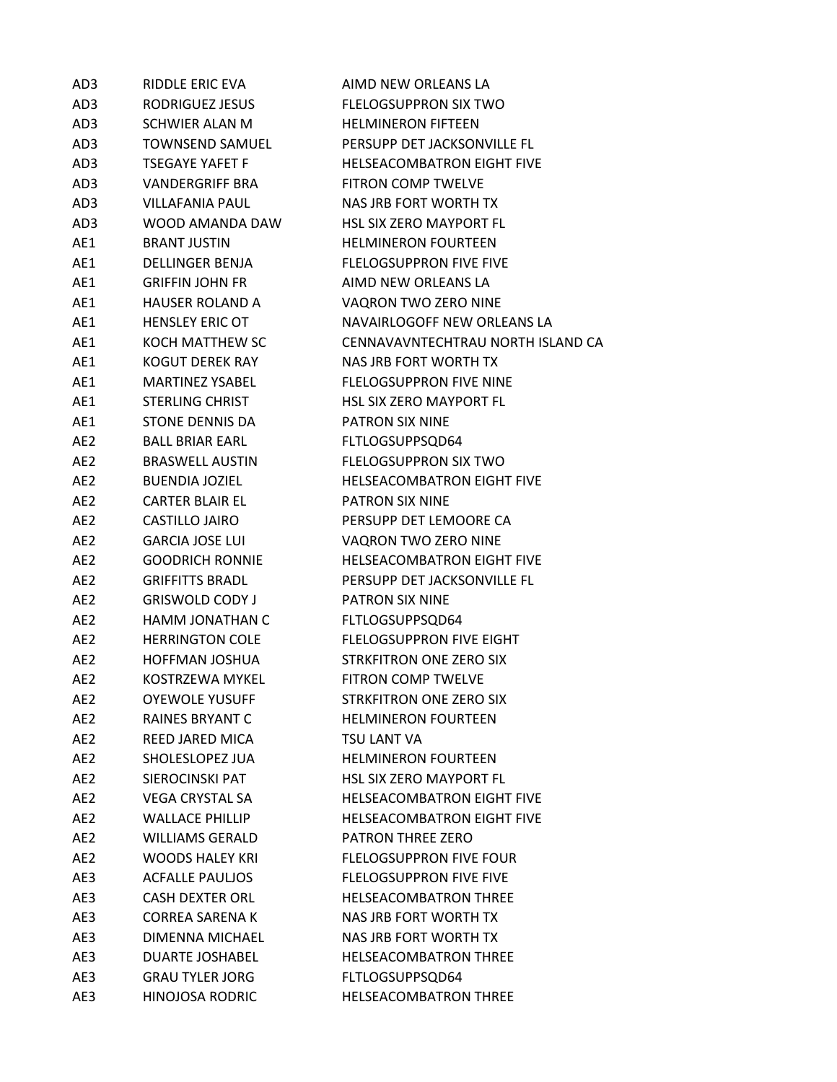| AD3             | RIDDLE ERIC EVA        | AIMD NEW ORLEANS LA                |
|-----------------|------------------------|------------------------------------|
| AD3             | RODRIGUEZ JESUS        | <b>FLELOGSUPPRON SIX TWO</b>       |
| AD3             | SCHWIER ALAN M         | <b>HELMINERON FIFTEEN</b>          |
| AD3             | <b>TOWNSEND SAMUEL</b> | PERSUPP DET JACKSONVILLE FL        |
| AD3             | TSEGAYE YAFET F        | <b>HELSEACOMBATRON EIGHT FIVE</b>  |
| AD3             | VANDERGRIFF BRA        | <b>FITRON COMP TWELVE</b>          |
| AD3             | VILLAFANIA PAUL        | NAS JRB FORT WORTH TX              |
| AD3             | WOOD AMANDA DAW        | <b>HSL SIX ZERO MAYPORT FL</b>     |
| AE1             | <b>BRANT JUSTIN</b>    | <b>HELMINERON FOURTEEN</b>         |
|                 | AE1 DELLINGER BENJA    | <b>FLELOGSUPPRON FIVE FIVE</b>     |
| AE1             | GRIFFIN JOHN FR        | AIMD NEW ORLEANS LA                |
|                 | AE1 HAUSER ROLAND A    | VAQRON TWO ZERO NINE               |
| AE1             | <b>HENSLEY ERIC OT</b> | NAVAIRLOGOFF NEW ORLEANS LA        |
| AE1             | KOCH MATTHEW SC        | CENNAVAVNTECHTRAU NORTH ISLAND CA  |
| AE1             | KOGUT DEREK RAY        | NAS JRB FORT WORTH TX              |
| AE1             | MARTINEZ YSABEL        | <b>FLELOGSUPPRON FIVE NINE</b>     |
|                 | AE1 STERLING CHRIST    | <b>HSL SIX ZERO MAYPORT FL</b>     |
| AE1             | STONE DENNIS DA        | <b>PATRON SIX NINE</b>             |
|                 | AE2 BALL BRIAR EARL    | FLTLOGSUPPSQD64                    |
| AE <sub>2</sub> | BRASWELL AUSTIN        | <b>FLELOGSUPPRON SIX TWO</b>       |
| AE2             | <b>BUENDIA JOZIEL</b>  | HELSEACOMBATRON EIGHT FIVE         |
| AE2             | <b>CARTER BLAIR EL</b> | <b>PATRON SIX NINE</b>             |
| AE2             | CASTILLO JAIRO         | PERSUPP DET LEMOORE CA             |
| AE2             | GARCIA JOSE LUI        | VAQRON TWO ZERO NINE               |
| AE2             | <b>GOODRICH RONNIE</b> | HELSEACOMBATRON EIGHT FIVE         |
| AE2             | <b>GRIFFITTS BRADL</b> | PERSUPP DET JACKSONVILLE FL        |
| AE <sub>2</sub> | <b>GRISWOLD CODY J</b> | <b>PATRON SIX NINE</b>             |
| AE2             | HAMM JONATHAN C        | FLTLOGSUPPSQD64                    |
|                 | AE2 HERRINGTON COLE    | <b>FLELOGSUPPRON FIVE EIGHT</b>    |
| AE2             | HOFFMAN JOSHUA         | STRKFITRON ONE ZERO SIX            |
| AE <sub>2</sub> |                        | KOSTRZEWA MYKEL FITRON COMP TWELVE |
| AE2             | <b>OYEWOLE YUSUFF</b>  | STRKFITRON ONE ZERO SIX            |
| AE2             | RAINES BRYANT C        | <b>HELMINERON FOURTEEN</b>         |
| AE2             | REED JARED MICA        | TSU LANT VA                        |
| AE2             | SHOLESLOPEZ JUA        | <b>HELMINERON FOURTEEN</b>         |
| AE2             | SIEROCINSKI PAT        | <b>HSL SIX ZERO MAYPORT FL</b>     |
| AE2             | VEGA CRYSTAL SA        | <b>HELSEACOMBATRON EIGHT FIVE</b>  |
| AE2             | <b>WALLACE PHILLIP</b> | <b>HELSEACOMBATRON EIGHT FIVE</b>  |
| AE2             | <b>WILLIAMS GERALD</b> | PATRON THREE ZERO                  |
| AE2             | WOODS HALEY KRI        | <b>FLELOGSUPPRON FIVE FOUR</b>     |
| AE3             | ACFALLE PAULIOS        | <b>FLELOGSUPPRON FIVE FIVE</b>     |
| AE3             | CASH DEXTER ORL        | <b>HELSEACOMBATRON THREE</b>       |
| AE3             | CORREA SARENA K        | NAS JRB FORT WORTH TX              |
| AE3             | DIMENNA MICHAEL        | NAS JRB FORT WORTH TX              |
| AE3             | <b>DUARTE JOSHABEL</b> | <b>HELSEACOMBATRON THREE</b>       |
| AE3             | <b>GRAU TYLER JORG</b> | FLTLOGSUPPSQD64                    |
| AE3             | <b>HINOJOSA RODRIC</b> | HELSEACOMBATRON THREE              |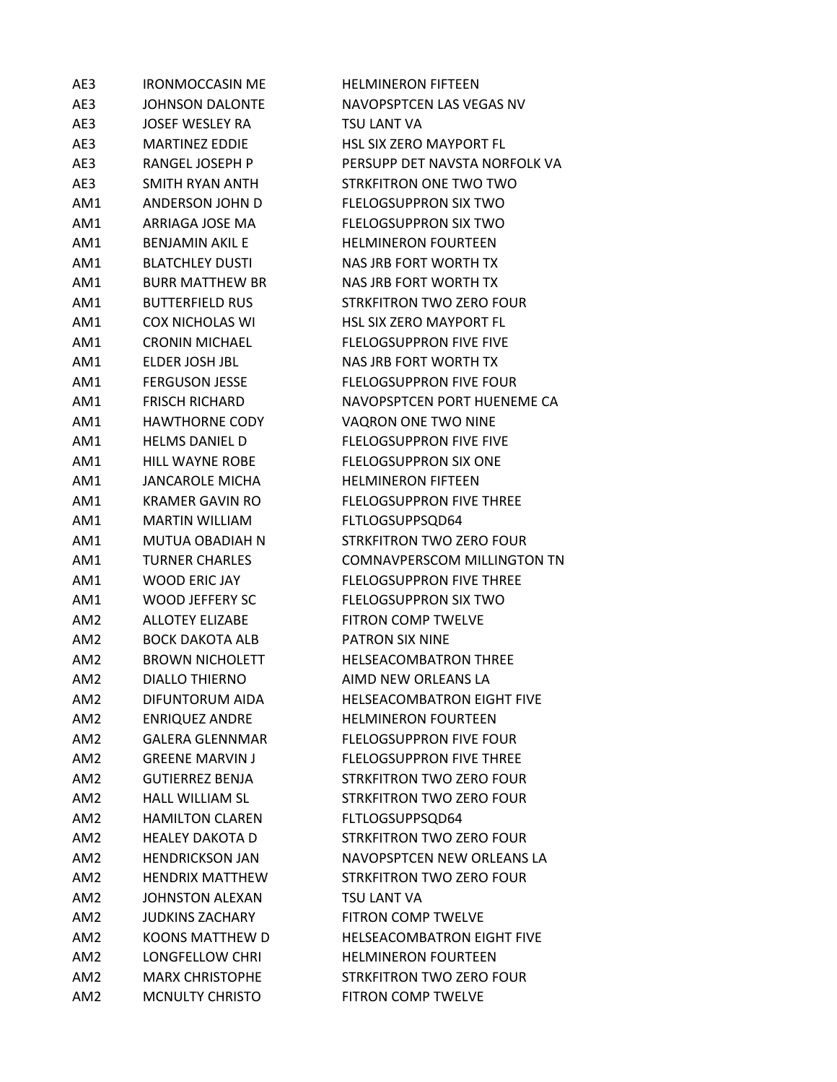| AE3             | <b>IRONMOCCASIN ME</b> | <b>HELMINERON FIFTEEN</b>          |
|-----------------|------------------------|------------------------------------|
| AE3             | <b>JOHNSON DALONTE</b> | NAVOPSPTCEN LAS VEGAS NV           |
| AE3             | <b>JOSEF WESLEY RA</b> | <b>TSU LANT VA</b>                 |
| AE3             | <b>MARTINEZ EDDIE</b>  | <b>HSL SIX ZERO MAYPORT FL</b>     |
| AE3             | RANGEL JOSEPH P        | PERSUPP DET NAVSTA NORFOLK VA      |
| AE3             | SMITH RYAN ANTH        | STRKFITRON ONE TWO TWO             |
| AM1             | ANDERSON JOHN D        | <b>FLELOGSUPPRON SIX TWO</b>       |
| AM1             | ARRIAGA JOSE MA        | <b>FLELOGSUPPRON SIX TWO</b>       |
| AM1             | <b>BENJAMIN AKIL E</b> | <b>HELMINERON FOURTEEN</b>         |
| AM1             | <b>BLATCHLEY DUSTI</b> | <b>NAS JRB FORT WORTH TX</b>       |
| AM1             | <b>BURR MATTHEW BR</b> | NAS JRB FORT WORTH TX              |
| AM1             | <b>BUTTERFIELD RUS</b> | <b>STRKFITRON TWO ZERO FOUR</b>    |
| AM1             | <b>COX NICHOLAS WI</b> | <b>HSL SIX ZERO MAYPORT FL</b>     |
| AM1             | <b>CRONIN MICHAEL</b>  | <b>FLELOGSUPPRON FIVE FIVE</b>     |
| AM1             | ELDER JOSH JBL         | NAS JRB FORT WORTH TX              |
| AM1             | <b>FERGUSON JESSE</b>  | <b>FLELOGSUPPRON FIVE FOUR</b>     |
| AM1             | <b>FRISCH RICHARD</b>  | NAVOPSPTCEN PORT HUENEME CA        |
| AM1             | <b>HAWTHORNE CODY</b>  | VAQRON ONE TWO NINE                |
| AM1             | <b>HFLMS DANIFL D</b>  | <b>FLELOGSUPPRON FIVE FIVE</b>     |
| AM1             | <b>HILL WAYNE ROBE</b> | <b>FLELOGSUPPRON SIX ONE</b>       |
| AM1             | <b>JANCAROLE MICHA</b> | <b>HELMINERON FIFTEEN</b>          |
| AM1             | <b>KRAMER GAVIN RO</b> | <b>FLELOGSUPPRON FIVE THREE</b>    |
| AM1             | <b>MARTIN WILLIAM</b>  | FLTLOGSUPPSQD64                    |
| AM1             | <b>MUTUA OBADIAH N</b> | <b>STRKFITRON TWO ZERO FOUR</b>    |
| AM1             | <b>TURNER CHARLES</b>  | <b>COMNAVPERSCOM MILLINGTON TN</b> |
| AM1             | <b>WOOD ERIC JAY</b>   | <b>FLELOGSUPPRON FIVE THREE</b>    |
| AM1             | <b>WOOD JEFFERY SC</b> | <b>FLELOGSUPPRON SIX TWO</b>       |
| AM <sub>2</sub> | <b>ALLOTEY ELIZABE</b> | <b>FITRON COMP TWELVE</b>          |
| AM2             | <b>BOCK DAKOTA ALB</b> | <b>PATRON SIX NINE</b>             |
| AM <sub>2</sub> | <b>BROWN NICHOLETT</b> | HELSEACOMBATRON THREE              |
| AM2             | <b>DIALLO THIERNO</b>  | AIMD NEW ORLEANS LA                |
| AM <sub>2</sub> | DIFUNTORUM AIDA        | HELSEACOMBATRON EIGHT FIVE         |
| AM <sub>2</sub> | <b>ENRIQUEZ ANDRE</b>  | <b>HELMINERON FOURTEEN</b>         |
| AM <sub>2</sub> | <b>GALERA GLENNMAR</b> | <b>FLELOGSUPPRON FIVE FOUR</b>     |
| AM <sub>2</sub> | <b>GREENE MARVIN J</b> | <b>FLELOGSUPPRON FIVE THREE</b>    |
| AM <sub>2</sub> | <b>GUTIERREZ BENJA</b> | STRKFITRON TWO ZERO FOUR           |
| AM <sub>2</sub> | <b>HALL WILLIAM SL</b> | <b>STRKFITRON TWO ZERO FOUR</b>    |
| AM <sub>2</sub> | <b>HAMILTON CLAREN</b> | FLTLOGSUPPSQD64                    |
| AM2             | <b>HEALEY DAKOTA D</b> | STRKFITRON TWO ZERO FOUR           |
| AM2             | <b>HENDRICKSON JAN</b> | NAVOPSPTCEN NEW ORLEANS LA         |
| AM2             | <b>HENDRIX MATTHEW</b> | <b>STRKFITRON TWO ZERO FOUR</b>    |
| AM <sub>2</sub> | <b>JOHNSTON ALEXAN</b> | TSU LANT VA                        |
| AM <sub>2</sub> | <b>JUDKINS ZACHARY</b> | <b>FITRON COMP TWELVE</b>          |
| AM2             | KOONS MATTHEW D        | <b>HELSEACOMBATRON EIGHT FIVE</b>  |
| AM <sub>2</sub> | LONGFELLOW CHRI        | <b>HELMINERON FOURTEEN</b>         |
| AM <sub>2</sub> | <b>MARX CHRISTOPHE</b> | <b>STRKFITRON TWO ZERO FOUR</b>    |
| AM2             | <b>MCNULTY CHRISTO</b> | FITRON COMP TWELVE                 |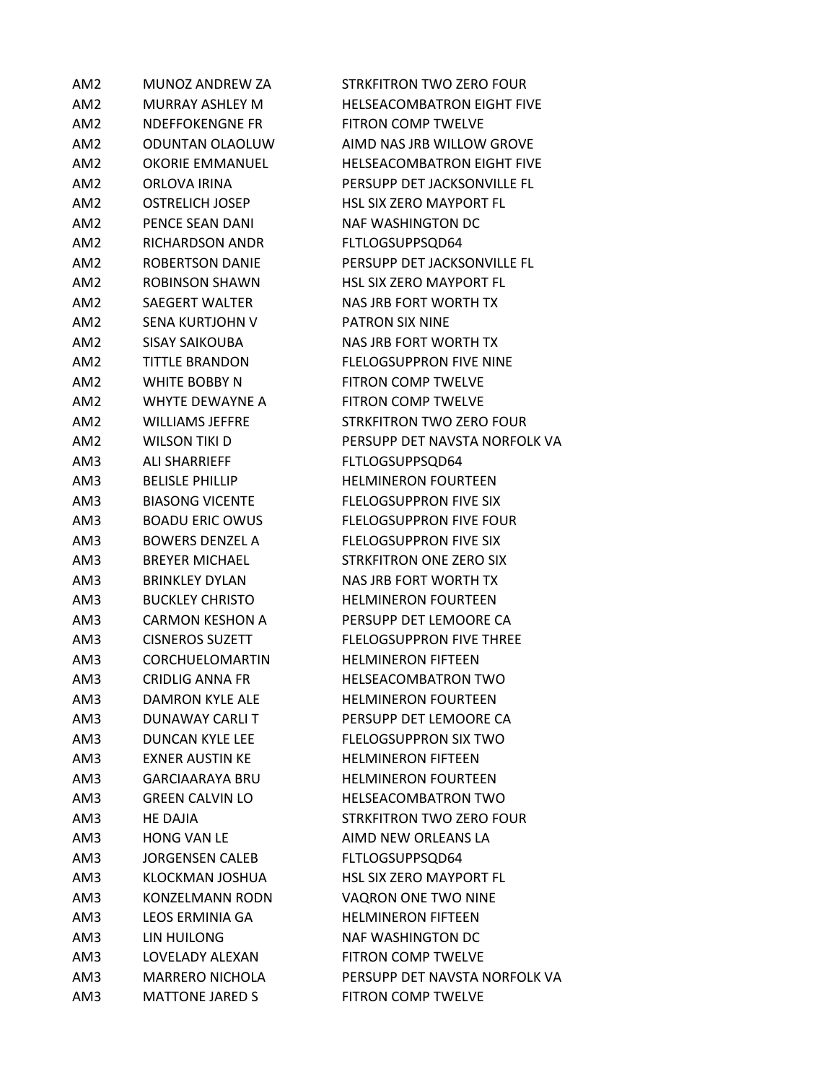| AM2             | MUNOZ ANDREW ZA        | <b>STRKFITRON TWO ZERO FOUR</b>   |
|-----------------|------------------------|-----------------------------------|
| AM <sub>2</sub> | <b>MURRAY ASHLEY M</b> | <b>HELSEACOMBATRON EIGHT FIVE</b> |
| AM2             | <b>NDEFFOKENGNE FR</b> | <b>FITRON COMP TWELVE</b>         |
| AM <sub>2</sub> | <b>ODUNTAN OLAOLUW</b> | AIMD NAS JRB WILLOW GROVE         |
| AM <sub>2</sub> | <b>OKORIE EMMANUEL</b> | <b>HELSEACOMBATRON EIGHT FIVE</b> |
| AM <sub>2</sub> | ORLOVA IRINA           | PERSUPP DET JACKSONVILLE FL       |
| AM <sub>2</sub> | <b>OSTRELICH JOSEP</b> | <b>HSL SIX ZERO MAYPORT FL</b>    |
| AM <sub>2</sub> | PENCE SEAN DANI        | <b>NAF WASHINGTON DC</b>          |
| AM2             | <b>RICHARDSON ANDR</b> | FLTLOGSUPPSQD64                   |
| AM <sub>2</sub> | <b>ROBERTSON DANIE</b> | PERSUPP DET JACKSONVILLE FL       |
| AM <sub>2</sub> | <b>ROBINSON SHAWN</b>  | <b>HSL SIX ZERO MAYPORT FL</b>    |
| AM <sub>2</sub> | <b>SAEGERT WALTER</b>  | NAS JRB FORT WORTH TX             |
| AM <sub>2</sub> | SENA KURTJOHN V        | <b>PATRON SIX NINE</b>            |
| AM <sub>2</sub> | <b>SISAY SAIKOUBA</b>  | NAS JRB FORT WORTH TX             |
| AM <sub>2</sub> | <b>TITTLE BRANDON</b>  | <b>FLELOGSUPPRON FIVE NINE</b>    |
| AM <sub>2</sub> | WHITE BOBBY N          | <b>FITRON COMP TWELVE</b>         |
| AM <sub>2</sub> | WHYTE DEWAYNE A        | <b>FITRON COMP TWELVE</b>         |
| AM <sub>2</sub> | <b>WILLIAMS JEFFRE</b> | <b>STRKFITRON TWO ZERO FOUR</b>   |
| AM <sub>2</sub> | <b>WILSON TIKI D</b>   | PERSUPP DET NAVSTA NORFOLK VA     |
| AM3             | <b>ALI SHARRIEFF</b>   | FLTLOGSUPPSQD64                   |
| AM3             | <b>BELISLE PHILLIP</b> | <b>HELMINERON FOURTEEN</b>        |
| AM3             | <b>BIASONG VICENTE</b> | <b>FLELOGSUPPRON FIVE SIX</b>     |
| AM3             | <b>BOADU ERIC OWUS</b> | <b>FLELOGSUPPRON FIVE FOUR</b>    |
| AM3             | <b>BOWERS DENZEL A</b> | <b>FLELOGSUPPRON FIVE SIX</b>     |
| AM3             | <b>BREYER MICHAEL</b>  | STRKFITRON ONE ZERO SIX           |
| AM3             | <b>BRINKLEY DYLAN</b>  | NAS JRB FORT WORTH TX             |
| AM3             | <b>BUCKLEY CHRISTO</b> | <b>HELMINERON FOURTEEN</b>        |
| AM3             | <b>CARMON KESHON A</b> | PERSUPP DET LEMOORE CA            |
| AM3             | <b>CISNEROS SUZETT</b> | <b>FLELOGSUPPRON FIVE THREE</b>   |
| AM3             | <b>CORCHUELOMARTIN</b> | <b>HELMINERON FIFTEEN</b>         |
| AM3             | <b>CRIDLIG ANNA FR</b> | <b>HELSEACOMBATRON TWO</b>        |
| AM3             | <b>DAMRON KYLE ALE</b> | <b>HELMINERON FOURTEEN</b>        |
| AM3             | <b>DUNAWAY CARLIT</b>  | PERSUPP DET LEMOORE CA            |
| AM3             | DUNCAN KYLE LEE        | <b>FLELOGSUPPRON SIX TWO</b>      |
| AM3             | <b>EXNER AUSTIN KE</b> | <b>HELMINERON FIFTEEN</b>         |
| AM3             | <b>GARCIAARAYA BRU</b> | <b>HELMINERON FOURTEEN</b>        |
| AM3             | <b>GREEN CALVIN LO</b> | <b>HELSEACOMBATRON TWO</b>        |
| AM3             | HE DAJIA               | <b>STRKFITRON TWO ZERO FOUR</b>   |
| AM3             | <b>HONG VAN LE</b>     | AIMD NEW ORLEANS LA               |
| AM3             | <b>JORGENSEN CALEB</b> | FLTLOGSUPPSQD64                   |
| AM3             | KLOCKMAN JOSHUA        | <b>HSL SIX ZERO MAYPORT FL</b>    |
| AM3             | KONZELMANN RODN        | VAQRON ONE TWO NINE               |
| AM3             | LEOS ERMINIA GA        | <b>HELMINERON FIFTEEN</b>         |
| AM3             | LIN HUILONG            | NAF WASHINGTON DC                 |
| AM3             | LOVELADY ALEXAN        | <b>FITRON COMP TWELVE</b>         |
| AM3             | <b>MARRERO NICHOLA</b> | PERSUPP DET NAVSTA NORFOLK VA     |
| AM3             | <b>MATTONE JARED S</b> | FITRON COMP TWELVE                |
|                 |                        |                                   |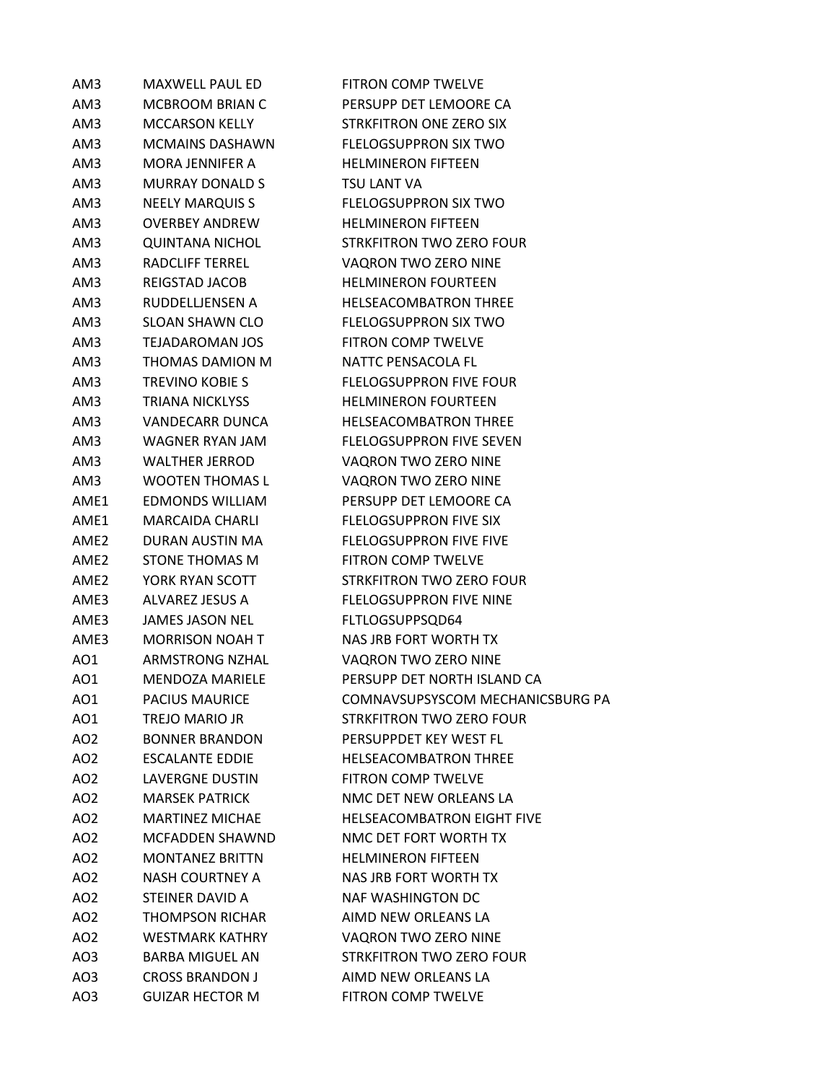| AM3              | MAXWELL PAUL ED        | <b>FITRON COMP TWELVE</b>         |
|------------------|------------------------|-----------------------------------|
| AM3              | MCBROOM BRIAN C        | PERSUPP DET LEMOORE CA            |
| AM3              | <b>MCCARSON KELLY</b>  | STRKFITRON ONE ZERO SIX           |
| AM3              | <b>MCMAINS DASHAWN</b> | <b>FLELOGSUPPRON SIX TWO</b>      |
| AM3              | MORA JENNIFER A        | <b>HELMINERON FIFTEEN</b>         |
| AM3              | <b>MURRAY DONALD S</b> | TSU LANT VA                       |
| AM3              | <b>NEELY MARQUIS S</b> | <b>FLELOGSUPPRON SIX TWO</b>      |
| AM3              | <b>OVERBEY ANDREW</b>  | <b>HELMINERON FIFTEEN</b>         |
| AM3              | <b>QUINTANA NICHOL</b> | <b>STRKFITRON TWO ZERO FOUR</b>   |
| AM3              | <b>RADCLIFF TERREL</b> | VAQRON TWO ZERO NINE              |
| AM3              | REIGSTAD JACOB         | <b>HELMINERON FOURTEEN</b>        |
| AM3              | RUDDELLJENSEN A        | <b>HELSEACOMBATRON THREE</b>      |
| AM3              | SLOAN SHAWN CLO        | FLELOGSUPPRON SIX TWO             |
| AM3              | TEJADAROMAN JOS        | <b>FITRON COMP TWELVE</b>         |
| AM3              | THOMAS DAMION M        | NATTC PENSACOLA FL                |
| AM3              | <b>TREVINO KOBIE S</b> | <b>FLELOGSUPPRON FIVE FOUR</b>    |
| AM3              | <b>TRIANA NICKLYSS</b> | <b>HELMINERON FOURTEEN</b>        |
| AM3              | VANDECARR DUNCA        | <b>HELSEACOMBATRON THREE</b>      |
| AM3              | WAGNER RYAN JAM        | <b>FLELOGSUPPRON FIVE SEVEN</b>   |
| AM3              | <b>WALTHER JERROD</b>  | VAQRON TWO ZERO NINE              |
| AM3              | <b>WOOTEN THOMAS L</b> | VAQRON TWO ZERO NINE              |
| AME1             | <b>EDMONDS WILLIAM</b> | PERSUPP DET LEMOORE CA            |
| AME1             | <b>MARCAIDA CHARLI</b> | FLELOGSUPPRON FIVE SIX            |
| AME2             | DURAN AUSTIN MA        | <b>FLELOGSUPPRON FIVE FIVE</b>    |
| AME2             | STONE THOMAS M         | <b>FITRON COMP TWELVE</b>         |
| AME <sub>2</sub> | YORK RYAN SCOTT        | STRKFITRON TWO ZERO FOUR          |
| AME3             | ALVAREZ JESUS A        | <b>FLELOGSUPPRON FIVE NINE</b>    |
| AME3             | JAMES JASON NEL        | FLTLOGSUPPSQD64                   |
| AME3             | <b>MORRISON NOAH T</b> | NAS JRB FORT WORTH TX             |
| AO1              | ARMSTRONG NZHAL        | VAQRON TWO ZERO NINE              |
| AO1              | <b>MENDOZA MARIELE</b> | PERSUPP DET NORTH ISLAND CA       |
| AO1              | <b>PACIUS MAURICE</b>  | COMNAVSUPSYSCOM MECHANICSBURG PA  |
| AO1              | TREJO MARIO JR         | STRKFITRON TWO ZERO FOUR          |
| AO <sub>2</sub>  | <b>BONNER BRANDON</b>  | PERSUPPDET KEY WEST FL            |
| AO <sub>2</sub>  | <b>ESCALANTE EDDIE</b> | <b>HELSEACOMBATRON THREE</b>      |
| AO <sub>2</sub>  | LAVERGNE DUSTIN        | <b>FITRON COMP TWELVE</b>         |
| AO <sub>2</sub>  | <b>MARSEK PATRICK</b>  | NMC DET NEW ORLEANS LA            |
| AO <sub>2</sub>  | <b>MARTINEZ MICHAE</b> | <b>HELSEACOMBATRON EIGHT FIVE</b> |
| AO2              | <b>MCFADDEN SHAWND</b> | NMC DET FORT WORTH TX             |
| AO <sub>2</sub>  | <b>MONTANEZ BRITTN</b> | <b>HELMINERON FIFTEEN</b>         |
| AO <sub>2</sub>  | <b>NASH COURTNEY A</b> | NAS JRB FORT WORTH TX             |
| AO <sub>2</sub>  | STEINER DAVID A        | <b>NAF WASHINGTON DC</b>          |
| AO2              | <b>THOMPSON RICHAR</b> | AIMD NEW ORLEANS LA               |
| AO <sub>2</sub>  | <b>WESTMARK KATHRY</b> | VAQRON TWO ZERO NINE              |
| AO3              | <b>BARBA MIGUEL AN</b> | <b>STRKFITRON TWO ZERO FOUR</b>   |
| AO3              | <b>CROSS BRANDON J</b> | AIMD NEW ORLEANS LA               |
| AO3              | <b>GUIZAR HECTOR M</b> | FITRON COMP TWELVE                |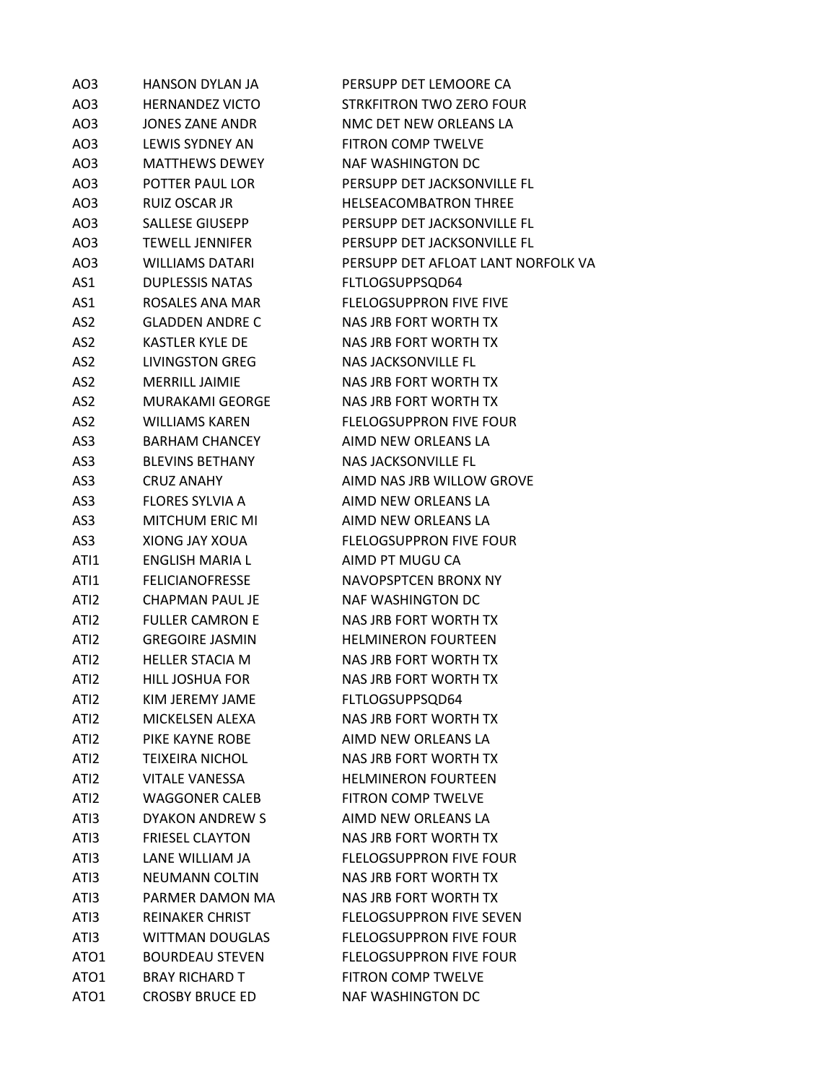| AO3              | <b>HANSON DYLAN JA</b>                           | PERSUPP DET LEMOORE CA                                            |
|------------------|--------------------------------------------------|-------------------------------------------------------------------|
| AO3              | HERNANDEZ VICTO                                  | STRKFITRON TWO ZERO FOUR                                          |
| AO3              | JONES ZANE ANDR                                  | NMC DET NEW ORLEANS LA                                            |
| AO3              | LEWIS SYDNEY AN                                  | <b>FITRON COMP TWELVE</b>                                         |
| AO3              | MATTHEWS DEWEY                                   | NAF WASHINGTON DC                                                 |
| AO3              | POTTER PAUL LOR                                  | PERSUPP DET JACKSONVILLE FL                                       |
| AO3              | RUIZ OSCAR JR                                    | <b>HELSEACOMBATRON THREE</b>                                      |
| AO3              | SALLESE GIUSEPP                                  | PERSUPP DET JACKSONVILLE FL                                       |
| AO3              | <b>TEWELL JENNIFER</b>                           | PERSUPP DET JACKSONVILLE FL                                       |
| AO3              | WILLIAMS DATARI                                  | PERSUPP DET AFLOAT LANT NORFOLK VA                                |
| AS1              | <b>DUPLESSIS NATAS</b>                           | FLTLOGSUPPSQD64                                                   |
| AS1              | ROSALES ANA MAR                                  | <b>FLELOGSUPPRON FIVE FIVE</b>                                    |
| AS2              | <b>GLADDEN ANDRE C</b>                           | NAS JRB FORT WORTH TX                                             |
| AS <sub>2</sub>  | KASTLER KYLE DE                                  | NAS JRB FORT WORTH TX                                             |
| AS2              | LIVINGSTON GREG                                  | <b>NAS JACKSONVILLE FL</b>                                        |
| AS2              | <b>MERRILL JAIMIE</b>                            | NAS JRB FORT WORTH TX                                             |
| AS <sub>2</sub>  | MURAKAMI GEORGE                                  | NAS JRB FORT WORTH TX                                             |
| AS2              | <b>WILLIAMS KAREN</b>                            | <b>FLELOGSUPPRON FIVE FOUR</b>                                    |
| AS3              | BARHAM CHANCFY                                   | AIMD NEW ORLEANS LA                                               |
| AS3              | BLEVINS BETHANY                                  | NAS JACKSONVILLE FL                                               |
| AS3              | CRUZ ANAHY                                       | AIMD NAS JRB WILLOW GROVE                                         |
| AS3              | <b>FLORES SYLVIA A</b>                           | AIMD NEW ORLEANS LA                                               |
| AS3              | MITCHUM ERIC MI                                  | AIMD NEW ORLEANS LA                                               |
| AS3              | XIONG JAY XOUA                                   | FLELOGSUPPRON FIVE FOUR                                           |
| ATI1             | ENGLISH MARIA L                                  | AIMD PT MUGU CA                                                   |
| ATI1             | <b>FELICIANOFRESSE</b>                           | NAVOPSPTCEN BRONX NY                                              |
| ATI <sub>2</sub> | CHAPMAN PAUL JE                                  | NAF WASHINGTON DC                                                 |
| ATI <sub>2</sub> | <b>FULLER CAMRON E</b>                           | NAS JRB FORT WORTH TX                                             |
| ATI <sub>2</sub> | <b>GREGOIRE JASMIN</b>                           | <b>HELMINERON FOURTEEN</b>                                        |
| ATI <sub>2</sub> | <b>HELLER STACIA M</b>                           | NAS JRB FORT WORTH TX                                             |
| ATI <sub>2</sub> | HILL JOSHUA FOR                                  | <b>NAS JRB FORT WORTH TX</b>                                      |
| ATI <sub>2</sub> | KIM JEREMY JAME                                  | FLTLOGSUPPSQD64                                                   |
| ATI <sub>2</sub> | MICKELSEN ALEXA                                  | NAS JRB FORT WORTH TX                                             |
| ATI <sub>2</sub> | PIKE KAYNE ROBE                                  | AIMD NEW ORLEANS LA                                               |
| ATI <sub>2</sub> | <b>TEIXEIRA NICHOL</b>                           | NAS JRB FORT WORTH TX                                             |
| ATI <sub>2</sub> | <b>VITALE VANESSA</b>                            | <b>HELMINERON FOURTEEN</b>                                        |
| ATI <sub>2</sub> | <b>WAGGONER CALEB</b>                            | <b>FITRON COMP TWELVE</b>                                         |
| ATI3             | <b>DYAKON ANDREW S</b>                           | AIMD NEW ORLEANS LA                                               |
| ATI3             | <b>FRIESEL CLAYTON</b>                           | NAS JRB FORT WORTH TX                                             |
| ATI3             | LANE WILLIAM JA                                  | <b>FLELOGSUPPRON FIVE FOUR</b>                                    |
| ATI3             | NEUMANN COLTIN                                   | NAS JRB FORT WORTH TX                                             |
| ATI3             | PARMER DAMON MA                                  | NAS JRB FORT WORTH TX                                             |
| ATI3<br>ATI3     | <b>REINAKER CHRIST</b><br><b>WITTMAN DOUGLAS</b> | <b>FLELOGSUPPRON FIVE SEVEN</b><br><b>FLELOGSUPPRON FIVE FOUR</b> |
| ATO1             | <b>BOURDEAU STEVEN</b>                           | <b>FLELOGSUPPRON FIVE FOUR</b>                                    |
| ATO1             | <b>BRAY RICHARD T</b>                            | <b>FITRON COMP TWELVE</b>                                         |
| ATO1             |                                                  | NAF WASHINGTON DC                                                 |
|                  | <b>CROSBY BRUCE ED</b>                           |                                                                   |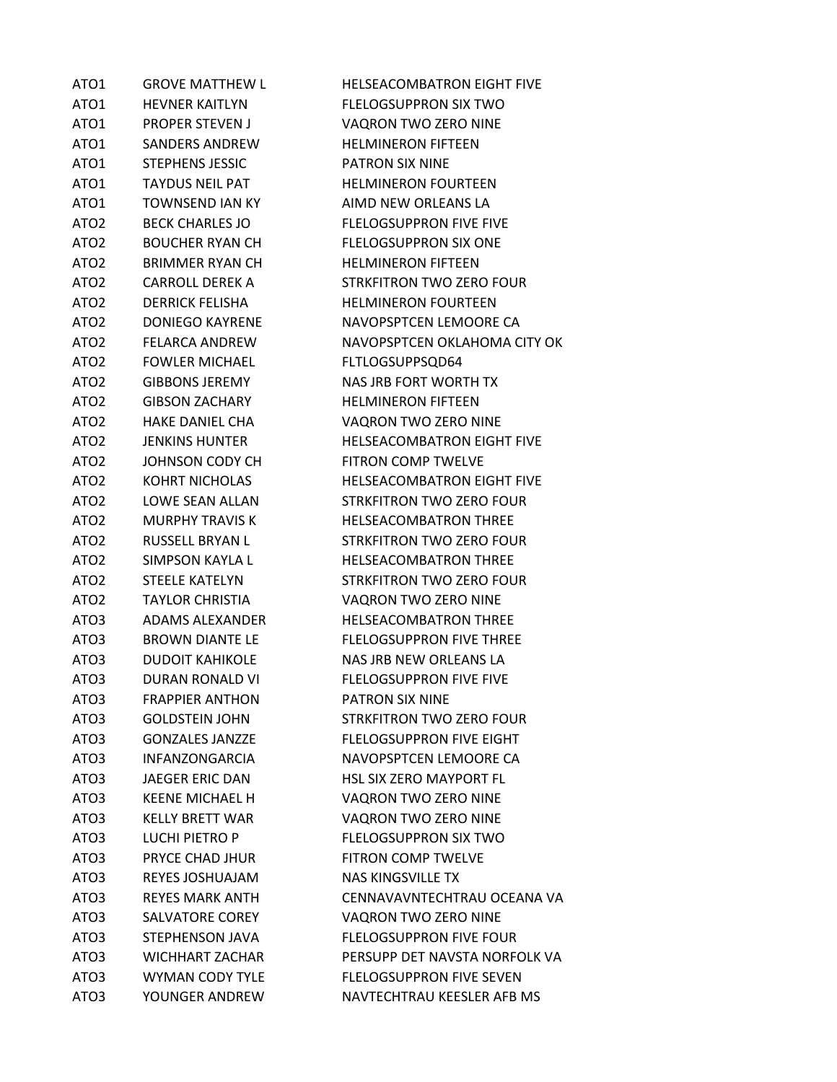| ATO <sub>1</sub> | <b>GROVE MATTHEW L</b> | <b>HELSEACOMBATRON EIGHT FIVE</b> |
|------------------|------------------------|-----------------------------------|
| ATO <sub>1</sub> | <b>HEVNER KAITLYN</b>  | <b>FLELOGSUPPRON SIX TWO</b>      |
| ATO <sub>1</sub> | <b>PROPER STEVEN J</b> | VAQRON TWO ZERO NINE              |
| ATO <sub>1</sub> | <b>SANDERS ANDREW</b>  | <b>HELMINERON FIFTEEN</b>         |
| ATO <sub>1</sub> | <b>STEPHENS JESSIC</b> | <b>PATRON SIX NINE</b>            |
| ATO <sub>1</sub> | <b>TAYDUS NEIL PAT</b> | <b>HELMINERON FOURTEEN</b>        |
| ATO <sub>1</sub> | <b>TOWNSEND IAN KY</b> | AIMD NEW ORLEANS LA               |
| ATO <sub>2</sub> | <b>BECK CHARLES JO</b> | <b>FLELOGSUPPRON FIVE FIVE</b>    |
| ATO <sub>2</sub> | <b>BOUCHER RYAN CH</b> | <b>FLELOGSUPPRON SIX ONE</b>      |
| ATO <sub>2</sub> | <b>BRIMMER RYAN CH</b> | <b>HELMINERON FIFTEEN</b>         |
| ATO <sub>2</sub> | <b>CARROLL DEREK A</b> | STRKFITRON TWO ZERO FOUR          |
| ATO <sub>2</sub> | <b>DERRICK FELISHA</b> | <b>HELMINERON FOURTEEN</b>        |
| ATO <sub>2</sub> | <b>DONIEGO KAYRENE</b> | NAVOPSPTCEN LEMOORE CA            |
| ATO <sub>2</sub> | <b>FELARCA ANDREW</b>  | NAVOPSPTCEN OKLAHOMA CITY OK      |
| ATO <sub>2</sub> | <b>FOWLER MICHAEL</b>  | FLTLOGSUPPSQD64                   |
| ATO <sub>2</sub> | <b>GIBBONS JEREMY</b>  | NAS JRB FORT WORTH TX             |
| ATO <sub>2</sub> | <b>GIBSON ZACHARY</b>  | <b>HELMINERON FIFTEEN</b>         |
| ATO <sub>2</sub> | <b>HAKE DANIEL CHA</b> | VAQRON TWO ZERO NINE              |
| ATO <sub>2</sub> | <b>JENKINS HUNTER</b>  | <b>HELSEACOMBATRON EIGHT FIVE</b> |
| ATO <sub>2</sub> | JOHNSON CODY CH        | <b>FITRON COMP TWELVE</b>         |
| ATO <sub>2</sub> | <b>KOHRT NICHOLAS</b>  | <b>HELSEACOMBATRON EIGHT FIVE</b> |
| ATO <sub>2</sub> | LOWE SEAN ALLAN        | <b>STRKFITRON TWO ZERO FOUR</b>   |
| ATO <sub>2</sub> | <b>MURPHY TRAVIS K</b> | <b>HELSEACOMBATRON THREE</b>      |
| ATO <sub>2</sub> | <b>RUSSELL BRYAN L</b> | <b>STRKFITRON TWO ZERO FOUR</b>   |
| ATO <sub>2</sub> | <b>SIMPSON KAYLA L</b> | <b>HELSEACOMBATRON THREE</b>      |
| ATO <sub>2</sub> | <b>STEELE KATELYN</b>  | STRKFITRON TWO ZERO FOUR          |
| ATO <sub>2</sub> | <b>TAYLOR CHRISTIA</b> | VAQRON TWO ZERO NINE              |
| ATO3             | ADAMS ALEXANDER        | <b>HELSEACOMBATRON THREE</b>      |
| ATO3             | <b>BROWN DIANTE LE</b> | <b>FLELOGSUPPRON FIVE THREE</b>   |
| ATO3             | <b>DUDOIT KAHIKOLE</b> | NAS JRB NEW ORLEANS LA            |
| ATO3             | <b>DURAN RONALD VI</b> | <b>FLELOGSUPPRON FIVE FIVE</b>    |
| ATO <sub>3</sub> | <b>FRAPPIER ANTHON</b> | <b>PATRON SIX NINE</b>            |
| ATO3             | <b>GOLDSTEIN JOHN</b>  | <b>STRKFITRON TWO ZERO FOUR</b>   |
| ATO3             | <b>GONZALES JANZZE</b> | <b>FLELOGSUPPRON FIVE EIGHT</b>   |
| ATO <sub>3</sub> | <b>INFANZONGARCIA</b>  | NAVOPSPTCEN LEMOORE CA            |
| ATO3             | <b>JAEGER ERIC DAN</b> | <b>HSL SIX ZERO MAYPORT FL</b>    |
| ATO3             | <b>KEENE MICHAEL H</b> | VAQRON TWO ZERO NINE              |
| ATO <sub>3</sub> | <b>KELLY BRETT WAR</b> | VAQRON TWO ZERO NINE              |
| ATO3             | LUCHI PIETRO P         | <b>FLELOGSUPPRON SIX TWO</b>      |
| ATO3             | PRYCE CHAD JHUR        | <b>FITRON COMP TWELVE</b>         |
| ATO3             | REYES JOSHUAJAM        | <b>NAS KINGSVILLE TX</b>          |
| ATO3             | <b>REYES MARK ANTH</b> | CENNAVAVNTECHTRAU OCEANA VA       |
| ATO3             | <b>SALVATORE COREY</b> | VAQRON TWO ZERO NINE              |
| ATO3             | STEPHENSON JAVA        | <b>FLELOGSUPPRON FIVE FOUR</b>    |
| ATO3             | <b>WICHHART ZACHAR</b> | PERSUPP DET NAVSTA NORFOLK VA     |
| ATO <sub>3</sub> | <b>WYMAN CODY TYLE</b> | <b>FLELOGSUPPRON FIVE SEVEN</b>   |
| ATO3             | YOUNGER ANDREW         | NAVTECHTRAU KEESLER AFB MS        |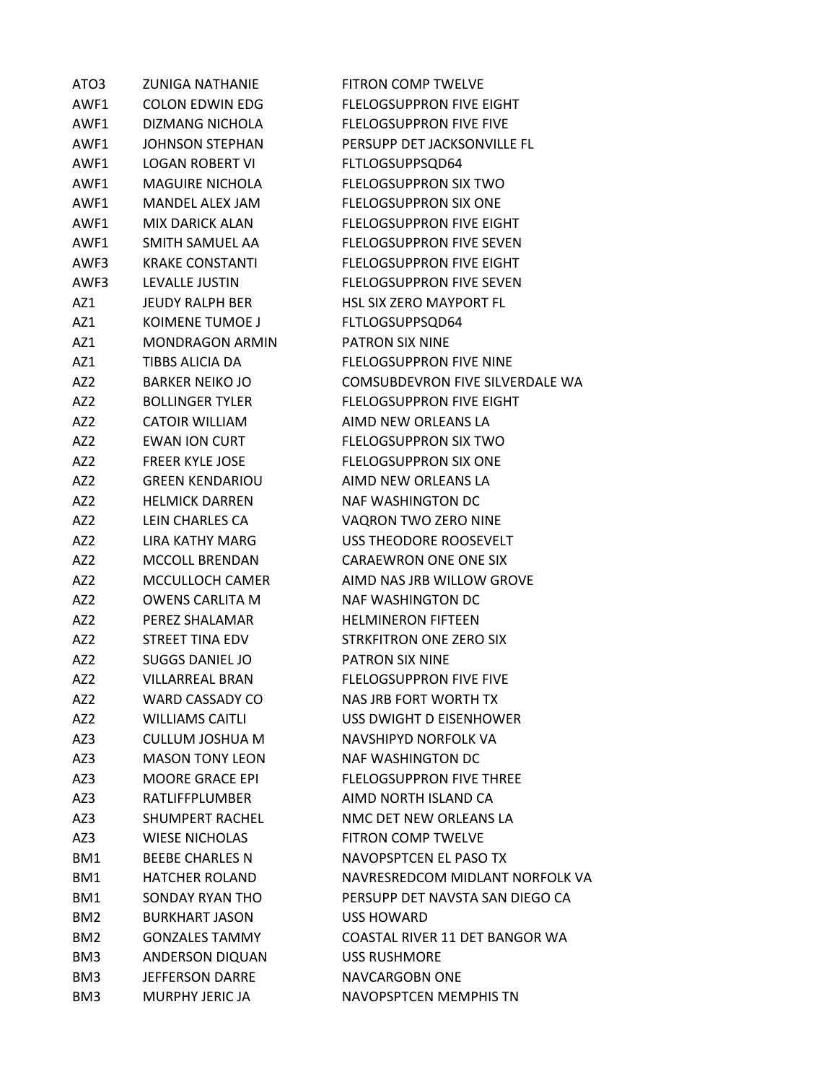| ATO3            | <b>ZUNIGA NATHANIE</b> | <b>FITRON COMP TWELVE</b>       |
|-----------------|------------------------|---------------------------------|
| AWF1            | <b>COLON EDWIN EDG</b> | <b>FLELOGSUPPRON FIVE EIGHT</b> |
| AWF1            | <b>DIZMANG NICHOLA</b> | <b>FLELOGSUPPRON FIVE FIVE</b>  |
| AWF1            | <b>JOHNSON STEPHAN</b> | PERSUPP DET JACKSONVILLE FL     |
| AWF1            | <b>LOGAN ROBERT VI</b> | FLTLOGSUPPSQD64                 |
| AWF1            | <b>MAGUIRE NICHOLA</b> | <b>FLELOGSUPPRON SIX TWO</b>    |
| AWF1            | MANDEL ALEX JAM        | <b>FLELOGSUPPRON SIX ONE</b>    |
| AWF1            | <b>MIX DARICK ALAN</b> | <b>FLELOGSUPPRON FIVE EIGHT</b> |
| AWF1            | SMITH SAMUEL AA        | <b>FLELOGSUPPRON FIVE SEVEN</b> |
| AWF3            | <b>KRAKE CONSTANTI</b> | <b>FLELOGSUPPRON FIVE EIGHT</b> |
| AWF3            | LEVALLE JUSTIN         | <b>FLELOGSUPPRON FIVE SEVEN</b> |
| AZ1             | JEUDY RALPH BER        | <b>HSL SIX ZERO MAYPORT FL</b>  |
| AZ1             | KOIMENE TUMOE J        | FLTLOGSUPPSQD64                 |
| AZ1             | <b>MONDRAGON ARMIN</b> | <b>PATRON SIX NINE</b>          |
| AZ1             | <b>TIBBS ALICIA DA</b> | <b>FLELOGSUPPRON FIVE NINE</b>  |
| AZ2             | <b>BARKER NEIKO JO</b> | COMSUBDEVRON FIVE SILVERDALE WA |
| AZ2             | <b>BOLLINGER TYLER</b> | FLELOGSUPPRON FIVE EIGHT        |
| AZ <sub>2</sub> | <b>CATOIR WILLIAM</b>  | AIMD NEW ORLEANS LA             |
| AZ <sub>2</sub> | <b>EWAN ION CURT</b>   | <b>FLELOGSUPPRON SIX TWO</b>    |
| AZ <sub>2</sub> | <b>FREER KYLE JOSE</b> | FLELOGSUPPRON SIX ONE           |
| AZ <sub>2</sub> | <b>GREEN KENDARIOU</b> | AIMD NEW ORLEANS LA             |
| AZ2             | <b>HELMICK DARREN</b>  | <b>NAF WASHINGTON DC</b>        |
| AZ <sub>2</sub> | LEIN CHARLES CA        | VAQRON TWO ZERO NINE            |
| AZ <sub>2</sub> | LIRA KATHY MARG        | USS THEODORE ROOSEVELT          |
| AZ <sub>2</sub> | <b>MCCOLL BRENDAN</b>  | <b>CARAEWRON ONE ONE SIX</b>    |
| AZ <sub>2</sub> | MCCULLOCH CAMER        | AIMD NAS JRB WILLOW GROVE       |
| AZ <sub>2</sub> | <b>OWENS CARLITA M</b> | <b>NAF WASHINGTON DC</b>        |
| AZ2             | PEREZ SHALAMAR         | <b>HELMINERON FIFTEEN</b>       |
| AZ <sub>2</sub> | STREET TINA EDV        | STRKFITRON ONE ZERO SIX         |
| AZ <sub>2</sub> | <b>SUGGS DANIEL JO</b> | PATRON SIX NINE                 |
| AZ <sub>2</sub> | <b>VILLARREAL BRAN</b> | <b>FLELOGSUPPRON FIVE FIVE</b>  |
| AZ <sub>2</sub> | <b>WARD CASSADY CO</b> | <b>NAS JRB FORT WORTH TX</b>    |
| AZ <sub>2</sub> | <b>WILLIAMS CAITLI</b> | USS DWIGHT D EISENHOWER         |
| AZ3             | CULLUM JOSHUA M        | NAVSHIPYD NORFOLK VA            |
| AZ3             | <b>MASON TONY LEON</b> | <b>NAF WASHINGTON DC</b>        |
| AZ3             | <b>MOORE GRACE EPI</b> | <b>FLELOGSUPPRON FIVE THREE</b> |
| AZ3             | RATLIFFPLUMBER         | AIMD NORTH ISLAND CA            |
| AZ3             | SHUMPERT RACHEL        | NMC DET NEW ORLEANS LA          |
| AZ3             | <b>WIESE NICHOLAS</b>  | <b>FITRON COMP TWELVE</b>       |
| BM1             | <b>BEEBE CHARLES N</b> | NAVOPSPTCEN EL PASO TX          |
| BM1             | <b>HATCHER ROLAND</b>  | NAVRESREDCOM MIDLANT NORFOLK VA |
| BM1             | SONDAY RYAN THO        | PERSUPP DET NAVSTA SAN DIEGO CA |
| BM <sub>2</sub> | <b>BURKHART JASON</b>  | <b>USS HOWARD</b>               |
| BM <sub>2</sub> | <b>GONZALES TAMMY</b>  | COASTAL RIVER 11 DET BANGOR WA  |
| BM3             | ANDERSON DIQUAN        | <b>USS RUSHMORE</b>             |
| BM3             | <b>JEFFERSON DARRE</b> | <b>NAVCARGOBN ONE</b>           |
| BM3             | MURPHY JERIC JA        | NAVOPSPTCEN MEMPHIS TN          |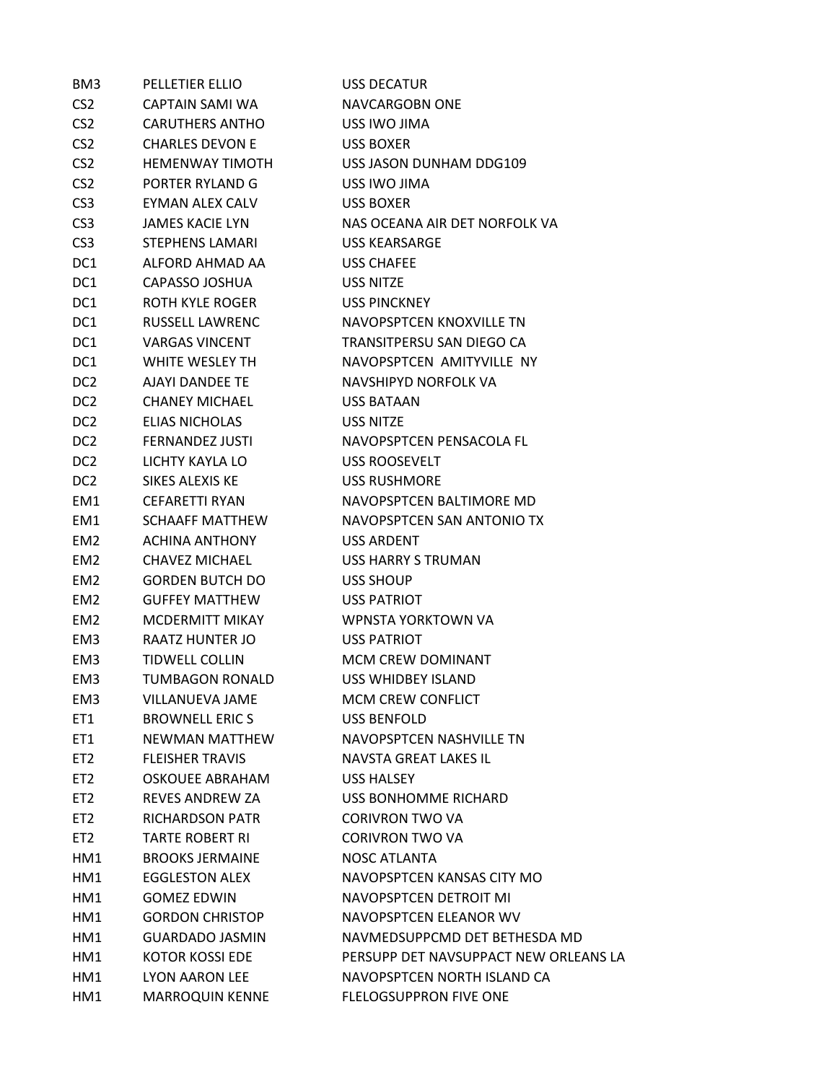| BM3             | <b>PELLETIER ELLIO</b> | USS DECATUR                           |
|-----------------|------------------------|---------------------------------------|
| CS <sub>2</sub> | CAPTAIN SAMI WA        | NAVCARGOBN ONE                        |
| CS <sub>2</sub> | <b>CARUTHERS ANTHO</b> | USS IWO JIMA                          |
| CS <sub>2</sub> | <b>CHARLES DEVON E</b> | <b>USS BOXER</b>                      |
| CS <sub>2</sub> | <b>HEMENWAY TIMOTH</b> | USS JASON DUNHAM DDG109               |
| CS <sub>2</sub> | PORTER RYLAND G        | USS IWO JIMA                          |
| CS <sub>3</sub> | EYMAN ALEX CALV        | <b>USS BOXER</b>                      |
| CS <sub>3</sub> | <b>JAMES KACIE LYN</b> | NAS OCEANA AIR DET NORFOLK VA         |
| CS <sub>3</sub> | STEPHENS LAMARI        | USS KEARSARGE                         |
| DC <sub>1</sub> | ALFORD AHMAD AA        | <b>USS CHAFEE</b>                     |
| DC1             | CAPASSO JOSHUA         | <b>USS NITZE</b>                      |
| DC1             | <b>ROTH KYLE ROGER</b> | USS PINCKNEY                          |
| DC1             | <b>RUSSELL LAWRENC</b> | NAVOPSPTCEN KNOXVILLE TN              |
| DC1             | <b>VARGAS VINCENT</b>  | TRANSITPERSU SAN DIEGO CA             |
| DC1             | WHITE WESLEY TH        | NAVOPSPTCEN AMITYVILLE NY             |
| DC <sub>2</sub> | AJAYI DANDEE TE        | NAVSHIPYD NORFOLK VA                  |
| DC <sub>2</sub> | CHANFY MICHAFL         | <b>USS BATAAN</b>                     |
| DC <sub>2</sub> | ELIAS NICHOLAS         | USS NITZE                             |
| DC <sub>2</sub> | <b>FERNANDEZ JUSTI</b> | NAVOPSPTCEN PENSACOLA FL              |
| DC <sub>2</sub> | LICHTY KAYLA LO        | <b>USS ROOSEVELT</b>                  |
| DC <sub>2</sub> | SIKES ALEXIS KE        | <b>USS RUSHMORE</b>                   |
| EM1             | CEFARETTI RYAN         | NAVOPSPTCEN BALTIMORE MD              |
| EM1             | <b>SCHAAFF MATTHEW</b> | NAVOPSPTCEN SAN ANTONIO TX            |
| EM <sub>2</sub> | ACHINA ANTHONY         | USS ARDENT                            |
| EM <sub>2</sub> | <b>CHAVEZ MICHAEL</b>  | <b>USS HARRY S TRUMAN</b>             |
| EM <sub>2</sub> | <b>GORDEN BUTCH DO</b> | <b>USS SHOUP</b>                      |
| EM <sub>2</sub> | <b>GUFFEY MATTHEW</b>  | USS PATRIOT                           |
| EM <sub>2</sub> | <b>MCDERMITT MIKAY</b> | WPNSTA YORKTOWN VA                    |
| EM <sub>3</sub> | <b>RAATZ HUNTER JO</b> | <b>USS PATRIOT</b>                    |
| EM <sub>3</sub> | <b>TIDWELL COLLIN</b>  | MCM CREW DOMINANT                     |
| EM <sub>3</sub> | <b>TUMBAGON RONALD</b> | <b>USS WHIDBEY ISLAND</b>             |
| EM <sub>3</sub> | <b>VILLANUEVA JAME</b> | <b>MCM CREW CONFLICT</b>              |
| ET1             | <b>BROWNELL ERICS</b>  | USS BENFOLD                           |
| ET1             | NEWMAN MATTHEW         | NAVOPSPTCEN NASHVILLE TN              |
| ET <sub>2</sub> | <b>FLEISHER TRAVIS</b> | NAVSTA GREAT LAKES IL                 |
| ET <sub>2</sub> | <b>OSKOUEE ABRAHAM</b> | USS HALSEY                            |
| ET <sub>2</sub> | <b>REVES ANDREW ZA</b> | USS BONHOMME RICHARD                  |
| ET <sub>2</sub> | <b>RICHARDSON PATR</b> | <b>CORIVRON TWO VA</b>                |
| ET <sub>2</sub> | <b>TARTE ROBERT RI</b> | <b>CORIVRON TWO VA</b>                |
| HM1             | <b>BROOKS JERMAINE</b> | NOSC ATLANTA                          |
| HM1             | <b>EGGLESTON ALEX</b>  | NAVOPSPTCEN KANSAS CITY MO            |
| HM1             | <b>GOMEZ EDWIN</b>     | NAVOPSPTCEN DETROIT MI                |
| HM1             | <b>GORDON CHRISTOP</b> | NAVOPSPTCEN ELEANOR WV                |
| HM1             | <b>GUARDADO JASMIN</b> | NAVMEDSUPPCMD DET BETHESDA MD         |
| HM1             | <b>KOTOR KOSSI EDE</b> | PERSUPP DET NAVSUPPACT NEW ORLEANS LA |
| HM1             | LYON AARON LEE         | NAVOPSPTCEN NORTH ISLAND CA           |
| HM1             | <b>MARROQUIN KENNE</b> | <b>FLELOGSUPPRON FIVE ONE</b>         |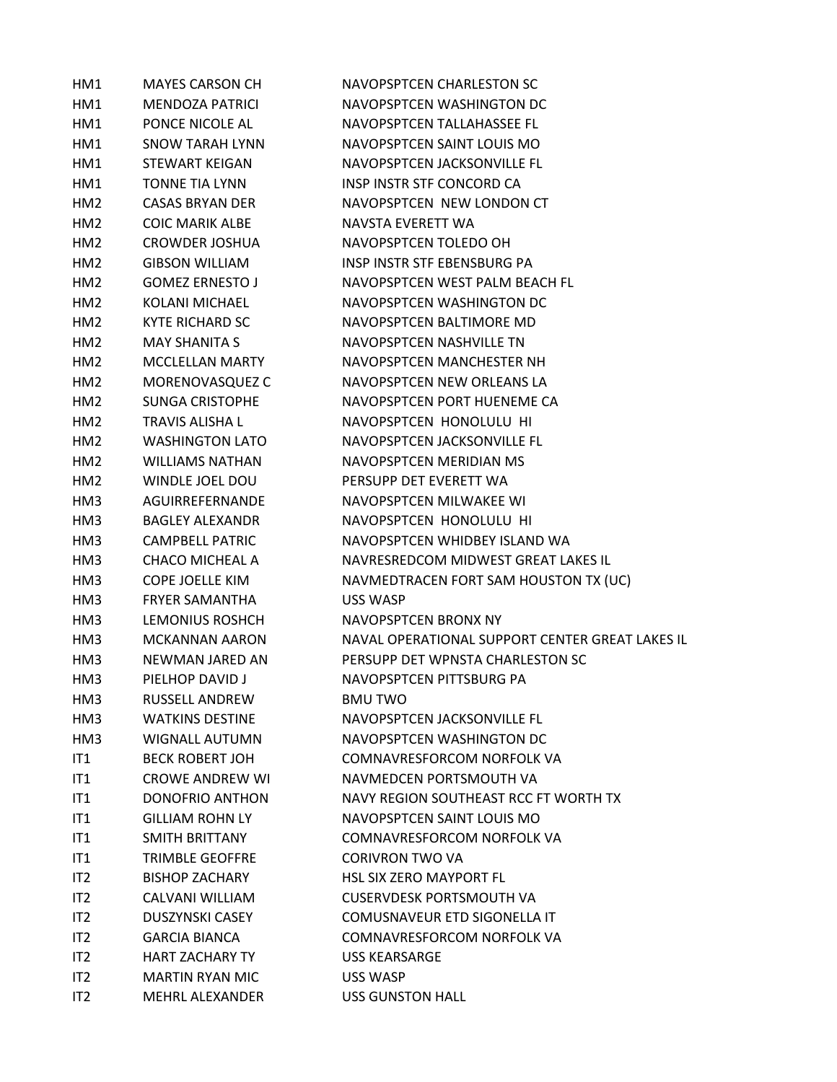| HM1             | <b>MAYES CARSON CH</b> | NAVOPSPTCEN CHARLESTON SC                       |
|-----------------|------------------------|-------------------------------------------------|
| HM1             | <b>MENDOZA PATRICI</b> | NAVOPSPTCEN WASHINGTON DC                       |
| HM1             | PONCE NICOLE AL        | NAVOPSPTCEN TALLAHASSEE FL                      |
| HM1             | <b>SNOW TARAH LYNN</b> | NAVOPSPTCEN SAINT LOUIS MO                      |
| HM1             | <b>STEWART KEIGAN</b>  | NAVOPSPTCEN JACKSONVILLE FL                     |
| HM1             | TONNE TIA LYNN         | INSP INSTR STF CONCORD CA                       |
| HM <sub>2</sub> | <b>CASAS BRYAN DER</b> | NAVOPSPTCEN NEW LONDON CT                       |
| HM <sub>2</sub> | <b>COIC MARIK ALBE</b> | NAVSTA EVERETT WA                               |
| HM2             | CROWDER JOSHUA         | NAVOPSPTCEN TOLEDO OH                           |
| HM <sub>2</sub> | <b>GIBSON WILLIAM</b>  | <b>INSP INSTR STF EBENSBURG PA</b>              |
| HM <sub>2</sub> | <b>GOMEZ ERNESTO J</b> | NAVOPSPTCEN WEST PALM BEACH FL                  |
| HM <sub>2</sub> | <b>KOLANI MICHAEL</b>  | NAVOPSPTCEN WASHINGTON DC                       |
| HM <sub>2</sub> | KYTE RICHARD SC        | NAVOPSPTCEN BALTIMORE MD                        |
| HM <sub>2</sub> | <b>MAY SHANITA S</b>   | NAVOPSPTCEN NASHVILLE TN                        |
| HM <sub>2</sub> | MCCLELLAN MARTY        | NAVOPSPTCEN MANCHESTER NH                       |
| HM2             | MORENOVASQUEZ C        | NAVOPSPTCEN NEW ORLEANS LA                      |
| HM2             | <b>SUNGA CRISTOPHE</b> | NAVOPSPTCEN PORT HUENEME CA                     |
| HM2             | <b>TRAVIS ALISHA L</b> | NAVOPSPTCEN HONOLULU HI                         |
| HM <sub>2</sub> | <b>WASHINGTON LATO</b> | NAVOPSPTCEN JACKSONVILLE FL                     |
| HM <sub>2</sub> | <b>WILLIAMS NATHAN</b> | NAVOPSPTCEN MERIDIAN MS                         |
| HM <sub>2</sub> | WINDLE JOEL DOU        | PERSUPP DET EVERETT WA                          |
| HM3             | AGUIRREFERNANDE        | NAVOPSPTCEN MILWAKEE WI                         |
| HM3             | <b>BAGLEY ALEXANDR</b> | NAVOPSPTCEN HONOLULU HI                         |
| HM3             | <b>CAMPBELL PATRIC</b> | NAVOPSPTCEN WHIDBEY ISLAND WA                   |
| HM3             | <b>CHACO MICHEAL A</b> | NAVRESREDCOM MIDWEST GREAT LAKES IL             |
| HM3             | <b>COPE JOELLE KIM</b> | NAVMEDTRACEN FORT SAM HOUSTON TX (UC)           |
| HM3             | <b>FRYER SAMANTHA</b>  | USS WASP                                        |
| HM3             | LEMONIUS ROSHCH        | NAVOPSPTCEN BRONX NY                            |
| HM3             | <b>MCKANNAN AARON</b>  | NAVAL OPERATIONAL SUPPORT CENTER GREAT LAKES IL |
| HM3             | NEWMAN JARED AN        | PERSUPP DET WPNSTA CHARLESTON SC                |
| HM3             | PIELHOP DAVID J        | NAVOPSPTCEN PITTSBURG PA                        |
| HM3             | RUSSELL ANDREW         | <b>BMU TWO</b>                                  |
| HM3             | <b>WATKINS DESTINE</b> | NAVOPSPTCEN JACKSONVILLE FL                     |
| HM3             | <b>WIGNALL AUTUMN</b>  | NAVOPSPTCEN WASHINGTON DC                       |
| IT1             | <b>BECK ROBERT JOH</b> | <b>COMNAVRESFORCOM NORFOLK VA</b>               |
| IT1             | <b>CROWE ANDREW WI</b> | NAVMEDCEN PORTSMOUTH VA                         |
| IT1             | <b>DONOFRIO ANTHON</b> | NAVY REGION SOUTHEAST RCC FT WORTH TX           |
| IT <sub>1</sub> | <b>GILLIAM ROHN LY</b> | NAVOPSPTCEN SAINT LOUIS MO                      |
| IT <sub>1</sub> | SMITH BRITTANY         | COMNAVRESFORCOM NORFOLK VA                      |
| IT <sub>1</sub> | <b>TRIMBLE GEOFFRE</b> | <b>CORIVRON TWO VA</b>                          |
| IT <sub>2</sub> | <b>BISHOP ZACHARY</b>  | <b>HSL SIX ZERO MAYPORT FL</b>                  |
| IT <sub>2</sub> | CALVANI WILLIAM        | <b>CUSERVDESK PORTSMOUTH VA</b>                 |
| IT <sub>2</sub> | <b>DUSZYNSKI CASEY</b> | COMUSNAVEUR ETD SIGONELLA IT                    |
| IT <sub>2</sub> | <b>GARCIA BIANCA</b>   | COMNAVRESFORCOM NORFOLK VA                      |
| IT <sub>2</sub> | <b>HART ZACHARY TY</b> | <b>USS KEARSARGE</b>                            |
| IT <sub>2</sub> | <b>MARTIN RYAN MIC</b> | <b>USS WASP</b>                                 |
| IT2             | <b>MEHRL ALEXANDER</b> | <b>USS GUNSTON HALL</b>                         |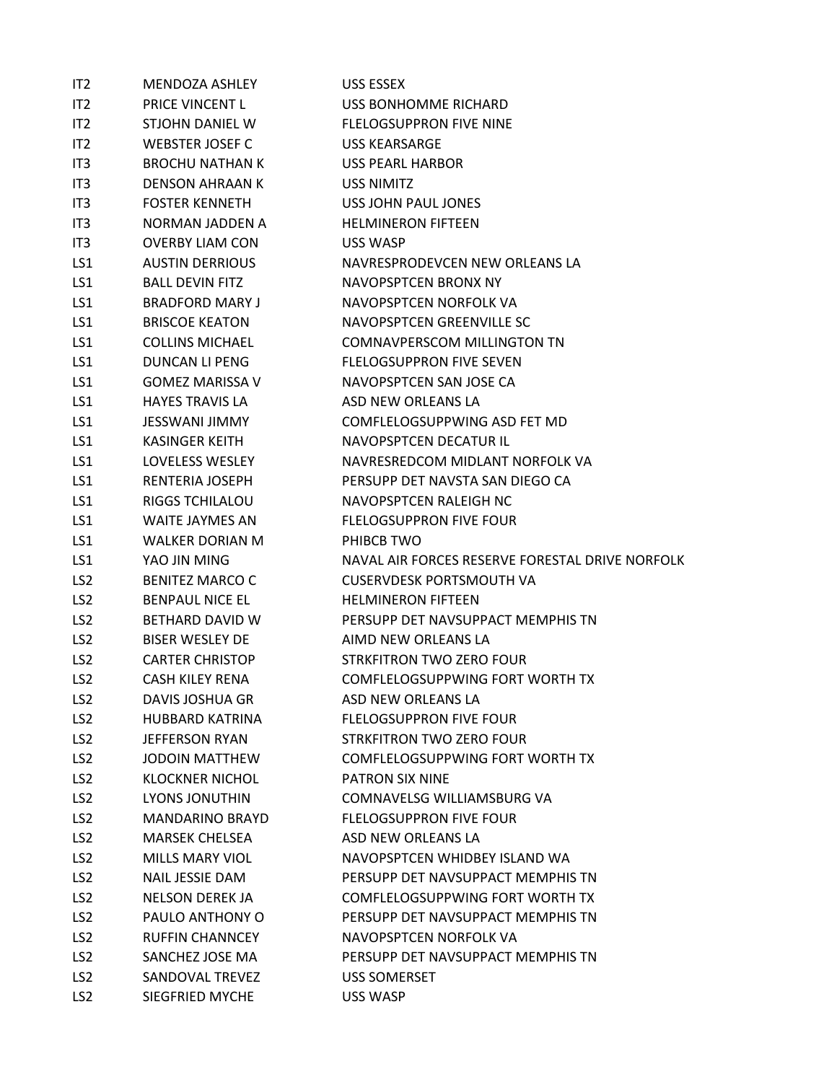| IT2             | MENDOZA ASHLEY         | USS ESSEX                                       |
|-----------------|------------------------|-------------------------------------------------|
| IT2             | PRICE VINCENT L        | USS BONHOMME RICHARD                            |
| IT <sub>2</sub> | STJOHN DANIEL W        | <b>FLELOGSUPPRON FIVE NINE</b>                  |
| IT2             | WEBSTER JOSEF C        | USS KEARSARGE                                   |
| IT <sub>3</sub> | <b>BROCHU NATHAN K</b> | <b>USS PEARL HARBOR</b>                         |
| IT <sub>3</sub> | <b>DENSON AHRAAN K</b> | <b>USS NIMITZ</b>                               |
| IT <sub>3</sub> | <b>FOSTER KENNETH</b>  | USS JOHN PAUL JONES                             |
| IT3             | NORMAN JADDEN A        | <b>HELMINERON FIFTEEN</b>                       |
| IT3             | <b>OVERBY LIAM CON</b> | USS WASP                                        |
| LS1             | <b>AUSTIN DERRIOUS</b> | NAVRESPRODEVCEN NEW ORLEANS LA                  |
| LS1             | <b>BALL DEVIN FITZ</b> | NAVOPSPTCEN BRONX NY                            |
| LS1             | <b>BRADFORD MARY J</b> | NAVOPSPTCEN NORFOLK VA                          |
| LS1             | <b>BRISCOE KEATON</b>  | NAVOPSPTCEN GREENVILLE SC                       |
| LS1             | <b>COLLINS MICHAEL</b> | <b>COMNAVPERSCOM MILLINGTON TN</b>              |
| LS1             | DUNCAN LI PENG         | <b>FLELOGSUPPRON FIVE SEVEN</b>                 |
| LS1             | <b>GOMEZ MARISSA V</b> | NAVOPSPTCEN SAN JOSE CA                         |
| LS1             | <b>HAYES TRAVIS LA</b> | ASD NEW ORLEANS LA                              |
| LS1             | JESSWANI JIMMY         | COMFLELOGSUPPWING ASD FET MD                    |
| LS1             | KASINGER KEITH         | NAVOPSPTCEN DECATUR IL                          |
| LS1             | LOVELESS WESLEY        | NAVRESREDCOM MIDLANT NORFOLK VA                 |
| LS1             | RENTERIA JOSEPH        | PERSUPP DET NAVSTA SAN DIEGO CA                 |
| LS1             | <b>RIGGS TCHILALOU</b> | NAVOPSPTCEN RALEIGH NC                          |
| LS1             | WAITE JAYMES AN        | <b>FLELOGSUPPRON FIVE FOUR</b>                  |
| LS1             | WALKER DORIAN M        | PHIBCB TWO                                      |
| LS1             | YAO JIN MING           | NAVAL AIR FORCES RESERVE FORESTAL DRIVE NORFOLK |
| LS <sub>2</sub> | <b>BENITEZ MARCO C</b> | <b>CUSERVDESK PORTSMOUTH VA</b>                 |
| LS <sub>2</sub> | <b>BENPAUL NICE EL</b> | <b>HELMINERON FIFTEEN</b>                       |
| LS <sub>2</sub> | BETHARD DAVID W        | PERSUPP DET NAVSUPPACT MEMPHIS TN               |
| LS <sub>2</sub> | <b>BISER WESLEY DE</b> | AIMD NEW ORLEANS LA                             |
| LS <sub>2</sub> | <b>CARTER CHRISTOP</b> | <b>STRKFITRON TWO ZERO FOUR</b>                 |
| LS <sub>2</sub> | <b>CASH KILEY RENA</b> | COMFLELOGSUPPWING FORT WORTH TX                 |
| LS <sub>2</sub> | DAVIS JOSHUA GR        | ASD NEW ORLEANS LA                              |
| LS <sub>2</sub> | HUBBARD KATRINA        | <b>FLELOGSUPPRON FIVE FOUR</b>                  |
| LS <sub>2</sub> | <b>JEFFERSON RYAN</b>  | STRKFITRON TWO ZERO FOUR                        |
| LS <sub>2</sub> | <b>JODOIN MATTHEW</b>  | <b>COMFLELOGSUPPWING FORT WORTH TX</b>          |
| LS <sub>2</sub> | <b>KLOCKNER NICHOL</b> | PATRON SIX NINE                                 |
| LS <sub>2</sub> | <b>LYONS JONUTHIN</b>  | COMNAVELSG WILLIAMSBURG VA                      |
| LS <sub>2</sub> | <b>MANDARINO BRAYD</b> | <b>FLELOGSUPPRON FIVE FOUR</b>                  |
| LS <sub>2</sub> | <b>MARSEK CHELSEA</b>  | ASD NEW ORLEANS LA                              |
| LS <sub>2</sub> | MILLS MARY VIOL        | NAVOPSPTCEN WHIDBEY ISLAND WA                   |
| LS <sub>2</sub> | <b>NAIL JESSIE DAM</b> | PERSUPP DET NAVSUPPACT MEMPHIS TN               |
| LS <sub>2</sub> | <b>NELSON DEREK JA</b> | COMFLELOGSUPPWING FORT WORTH TX                 |
| LS <sub>2</sub> | PAULO ANTHONY O        | PERSUPP DET NAVSUPPACT MEMPHIS TN               |
| LS <sub>2</sub> | <b>RUFFIN CHANNCEY</b> | NAVOPSPTCEN NORFOLK VA                          |
| LS <sub>2</sub> | SANCHEZ JOSE MA        | PERSUPP DET NAVSUPPACT MEMPHIS TN               |
| LS <sub>2</sub> | SANDOVAL TREVEZ        | <b>USS SOMERSET</b>                             |
| LS <sub>2</sub> | <b>SIEGFRIED MYCHE</b> | USS WASP                                        |
|                 |                        |                                                 |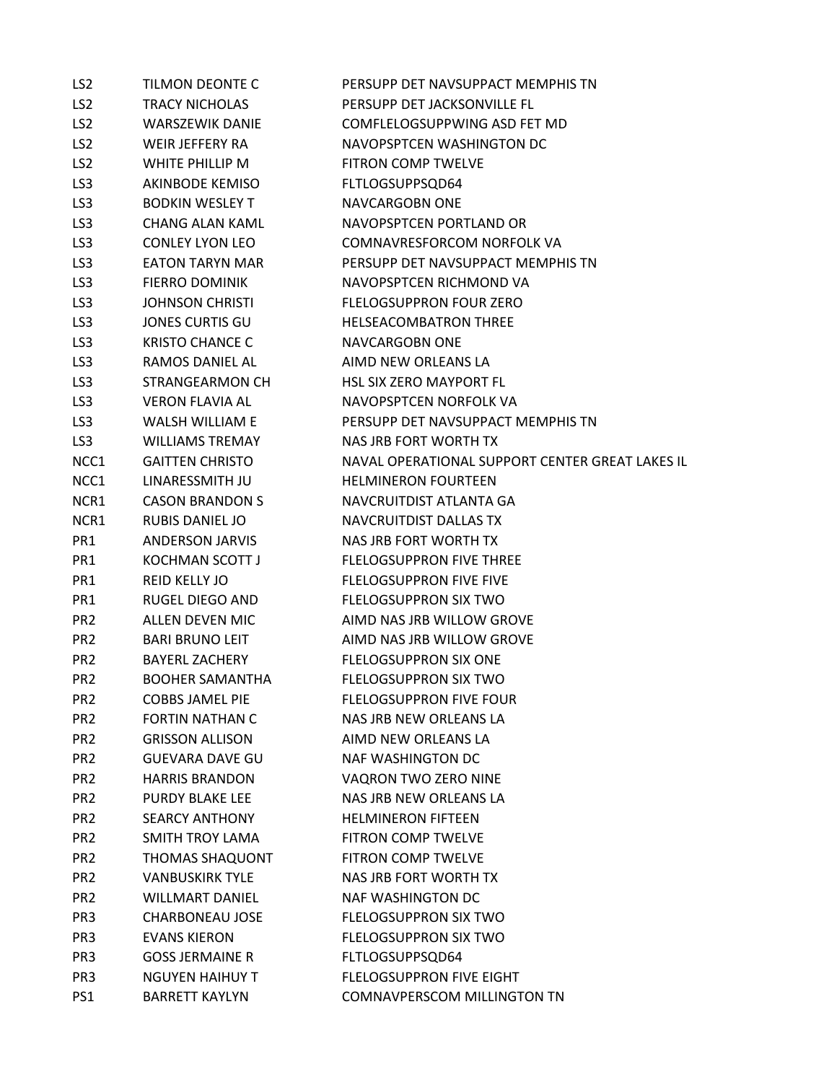| LS <sub>2</sub> | TILMON DEONTE C        | PERSUPP DET NAVSUPPACT MEMPHIS TN               |
|-----------------|------------------------|-------------------------------------------------|
| LS <sub>2</sub> | <b>TRACY NICHOLAS</b>  | PERSUPP DET JACKSONVILLE FL                     |
| LS <sub>2</sub> | WARSZEWIK DANIE        | COMFLELOGSUPPWING ASD FET MD                    |
| LS <sub>2</sub> | WEIR JEFFERY RA        | NAVOPSPTCEN WASHINGTON DC                       |
| LS <sub>2</sub> | WHITE PHILLIP M        | <b>FITRON COMP TWELVE</b>                       |
| LS <sub>3</sub> | AKINBODE KEMISO        | FLTLOGSUPPSQD64                                 |
| LS <sub>3</sub> | <b>BODKIN WESLEY T</b> | <b>NAVCARGOBN ONE</b>                           |
| LS <sub>3</sub> | <b>CHANG ALAN KAML</b> | NAVOPSPTCEN PORTLAND OR                         |
| LS <sub>3</sub> | <b>CONLEY LYON LEO</b> | COMNAVRESFORCOM NORFOLK VA                      |
| LS <sub>3</sub> | EATON TARYN MAR        | PERSUPP DET NAVSUPPACT MEMPHIS TN               |
| LS <sub>3</sub> | <b>FIERRO DOMINIK</b>  | NAVOPSPTCEN RICHMOND VA                         |
| LS3             | <b>JOHNSON CHRISTI</b> | <b>FLELOGSUPPRON FOUR ZERO</b>                  |
| LS3             | JONES CURTIS GU        | <b>HELSEACOMBATRON THREE</b>                    |
| LS3             | KRISTO CHANCE C        | <b>NAVCARGOBN ONE</b>                           |
| LS <sub>3</sub> | RAMOS DANIEL AL        | AIMD NEW ORLEANS LA                             |
| LS3             | STRANGEARMON CH        | <b>HSL SIX ZERO MAYPORT FL</b>                  |
| LS3             | <b>VERON FLAVIA AL</b> | NAVOPSPTCEN NORFOLK VA                          |
| LS3             | WALSH WILLIAM E        | PERSUPP DET NAVSUPPACT MEMPHIS TN               |
| LS3             | WILLIAMS TREMAY        | NAS JRB FORT WORTH TX                           |
| NCC1            | <b>GAITTEN CHRISTO</b> | NAVAL OPERATIONAL SUPPORT CENTER GREAT LAKES IL |
| NCC1            | LINARESSMITH JU        | <b>HELMINERON FOURTEEN</b>                      |
| NCR1            | CASON BRANDON S        | NAVCRUITDIST ATLANTA GA                         |
| NCR1            | RUBIS DANIEL JO        | NAVCRUITDIST DALLAS TX                          |
| PR1             | ANDERSON JARVIS        | NAS JRB FORT WORTH TX                           |
| PR1             | <b>KOCHMAN SCOTT J</b> | <b>FLELOGSUPPRON FIVE THREE</b>                 |
| PR1             | <b>REID KELLY JO</b>   | <b>FLELOGSUPPRON FIVE FIVE</b>                  |
| PR1             | RUGEL DIEGO AND        | <b>FLELOGSUPPRON SIX TWO</b>                    |
| PR <sub>2</sub> | ALLEN DEVEN MIC        | AIMD NAS JRB WILLOW GROVE                       |
| PR <sub>2</sub> | BARI BRUNO LEIT        | AIMD NAS JRB WILLOW GROVE                       |
| PR <sub>2</sub> | <b>BAYERL ZACHERY</b>  | <b>FLELOGSUPPRON SIX ONE</b>                    |
| PR <sub>2</sub> | <b>BOOHER SAMANTHA</b> | FLELOGSUPPRON SIX TWO                           |
| PR <sub>2</sub> | <b>COBBS JAMEL PIE</b> | <b>FLELOGSUPPRON FIVE FOUR</b>                  |
| PR <sub>2</sub> | <b>FORTIN NATHAN C</b> | NAS JRB NEW ORLEANS LA                          |
| PR <sub>2</sub> | <b>GRISSON ALLISON</b> | AIMD NEW ORLEANS LA                             |
| PR <sub>2</sub> | <b>GUEVARA DAVE GU</b> | <b>NAF WASHINGTON DC</b>                        |
| PR <sub>2</sub> | <b>HARRIS BRANDON</b>  | VAQRON TWO ZERO NINE                            |
| PR <sub>2</sub> | PURDY BLAKE LEE        | NAS JRB NEW ORLEANS LA                          |
| PR <sub>2</sub> | <b>SEARCY ANTHONY</b>  | <b>HELMINERON FIFTEEN</b>                       |
| PR <sub>2</sub> | <b>SMITH TROY LAMA</b> | <b>FITRON COMP TWELVE</b>                       |
| PR <sub>2</sub> | <b>THOMAS SHAQUONT</b> | FITRON COMP TWELVE                              |
| PR <sub>2</sub> | <b>VANBUSKIRK TYLE</b> | NAS JRB FORT WORTH TX                           |
| PR <sub>2</sub> | <b>WILLMART DANIEL</b> | <b>NAF WASHINGTON DC</b>                        |
| PR <sub>3</sub> | <b>CHARBONEAU JOSE</b> | FLELOGSUPPRON SIX TWO                           |
| PR <sub>3</sub> | <b>EVANS KIERON</b>    | <b>FLELOGSUPPRON SIX TWO</b>                    |
| PR <sub>3</sub> | <b>GOSS JERMAINE R</b> | FLTLOGSUPPSQD64                                 |
| PR <sub>3</sub> | <b>NGUYEN HAIHUY T</b> | FLELOGSUPPRON FIVE EIGHT                        |
| PS1             | <b>BARRETT KAYLYN</b>  | <b>COMNAVPERSCOM MILLINGTON TN</b>              |
|                 |                        |                                                 |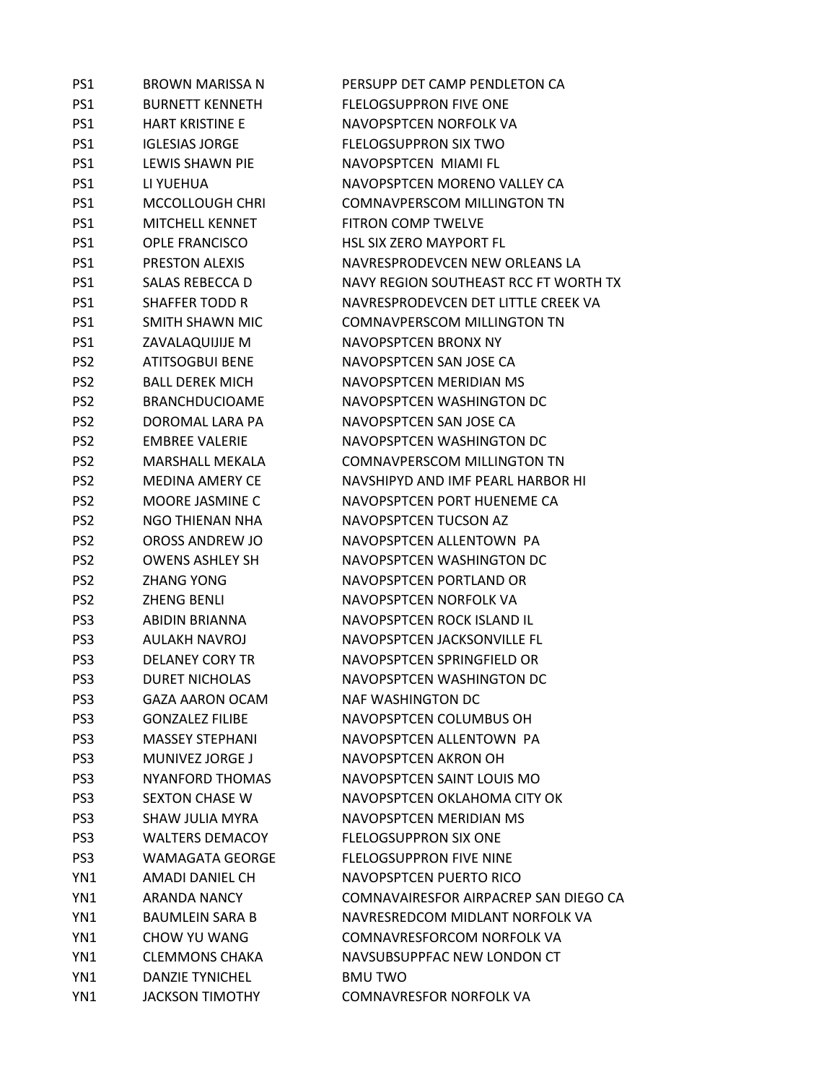| PS1             | BROWN MARISSA N        | PERSUPP DET CAMP PENDLETON CA         |
|-----------------|------------------------|---------------------------------------|
| PS1             | <b>BURNETT KENNETH</b> | <b>FLELOGSUPPRON FIVE ONE</b>         |
| PS1             | <b>HART KRISTINE E</b> | NAVOPSPTCEN NORFOLK VA                |
| PS1             | <b>IGLESIAS JORGE</b>  | <b>FLELOGSUPPRON SIX TWO</b>          |
| PS1             | LEWIS SHAWN PIE        | NAVOPSPTCEN MIAMI FL                  |
| PS1             | LI YUEHUA              | NAVOPSPTCEN MORENO VALLEY CA          |
| PS1             | MCCOLLOUGH CHRI        | <b>COMNAVPERSCOM MILLINGTON TN</b>    |
| PS1             | MITCHELL KENNET        | <b>FITRON COMP TWELVE</b>             |
| PS1             | <b>OPLE FRANCISCO</b>  | <b>HSL SIX ZERO MAYPORT FL</b>        |
| PS1             | PRESTON ALEXIS         | NAVRESPRODEVCEN NEW ORLEANS LA        |
| PS1             | SALAS REBECCA D        | NAVY REGION SOUTHEAST RCC FT WORTH TX |
| PS1             | <b>SHAFFER TODD R</b>  | NAVRESPRODEVCEN DET LITTLE CREEK VA   |
| PS1             | SMITH SHAWN MIC        | <b>COMNAVPERSCOM MILLINGTON TN</b>    |
| PS1             | ZAVALAQUIJIJE M        | NAVOPSPTCEN BRONX NY                  |
| PS <sub>2</sub> | <b>ATITSOGBUI BENE</b> | NAVOPSPTCEN SAN JOSE CA               |
| PS <sub>2</sub> | <b>BALL DEREK MICH</b> | NAVOPSPTCEN MERIDIAN MS               |
| PS <sub>2</sub> | <b>BRANCHDUCIOAME</b>  | NAVOPSPTCEN WASHINGTON DC             |
| PS <sub>2</sub> | DOROMAL LARA PA        | NAVOPSPTCEN SAN JOSE CA               |
| PS <sub>2</sub> | <b>EMBREE VALERIE</b>  | NAVOPSPTCEN WASHINGTON DC             |
| PS <sub>2</sub> | MARSHALL MEKALA        | <b>COMNAVPERSCOM MILLINGTON TN</b>    |
| PS <sub>2</sub> | <b>MEDINA AMERY CE</b> | NAVSHIPYD AND IMF PEARL HARBOR HI     |
| PS <sub>2</sub> | MOORE JASMINE C        | NAVOPSPTCEN PORT HUENEME CA           |
| PS <sub>2</sub> | NGO THIENAN NHA        | NAVOPSPTCEN TUCSON AZ                 |
| PS <sub>2</sub> | OROSS ANDREW JO        | NAVOPSPTCEN ALLENTOWN PA              |
| PS <sub>2</sub> | <b>OWENS ASHLEY SH</b> | NAVOPSPTCEN WASHINGTON DC             |
| PS <sub>2</sub> | <b>ZHANG YONG</b>      | NAVOPSPTCEN PORTLAND OR               |
| PS <sub>2</sub> | <b>ZHENG BENLI</b>     | NAVOPSPTCEN NORFOLK VA                |
| PS <sub>3</sub> | ABIDIN BRIANNA         | NAVOPSPTCEN ROCK ISLAND IL            |
| PS3             | AULAKH NAVROJ          | NAVOPSPTCEN JACKSONVILLE FL           |
| PS <sub>3</sub> | <b>DELANEY CORY TR</b> | NAVOPSPTCEN SPRINGFIELD OR            |
| PS3             | <b>DURET NICHOLAS</b>  | NAVOPSPTCEN WASHINGTON DC             |
| PS3             | GAZA AARON OCAM        | NAF WASHINGTON DC                     |
| PS3             | <b>GONZALEZ FILIBE</b> | NAVOPSPTCEN COLUMBUS OH               |
| PS3             | <b>MASSEY STEPHANI</b> | NAVOPSPTCEN ALLENTOWN PA              |
| PS3             | MUNIVEZ JORGE J        | NAVOPSPTCEN AKRON OH                  |
| PS3             | NYANFORD THOMAS        | NAVOPSPTCEN SAINT LOUIS MO            |
| PS3             | SEXTON CHASE W         | NAVOPSPTCEN OKLAHOMA CITY OK          |
| PS3             | SHAW JULIA MYRA        | NAVOPSPTCEN MERIDIAN MS               |
| PS3             | <b>WALTERS DEMACOY</b> | <b>FLELOGSUPPRON SIX ONE</b>          |
| PS3             | WAMAGATA GEORGE        | <b>FLELOGSUPPRON FIVE NINE</b>        |
| YN1             | AMADI DANIEL CH        | NAVOPSPTCEN PUERTO RICO               |
| YN1             | ARANDA NANCY           | COMNAVAIRESFOR AIRPACREP SAN DIEGO CA |
| YN1             | <b>BAUMLEIN SARA B</b> | NAVRESREDCOM MIDLANT NORFOLK VA       |
| YN1             | CHOW YU WANG           | <b>COMNAVRESFORCOM NORFOLK VA</b>     |
| YN1             | CLEMMONS CHAKA         | NAVSUBSUPPFAC NEW LONDON CT           |
| YN1             | DANZIE TYNICHEL        | <b>BMU TWO</b>                        |
| YN1             | <b>JACKSON TIMOTHY</b> | <b>COMNAVRESFOR NORFOLK VA</b>        |